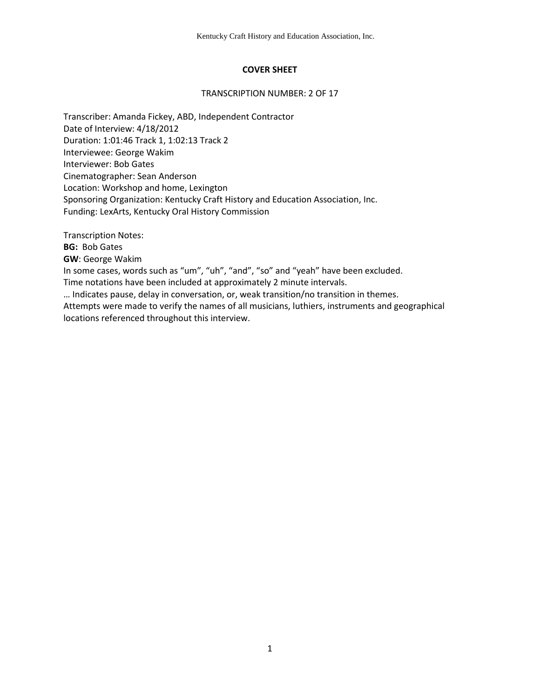# **COVER SHEET**

## TRANSCRIPTION NUMBER: 2 OF 17

Transcriber: Amanda Fickey, ABD, Independent Contractor Date of Interview: 4/18/2012 Duration: 1:01:46 Track 1, 1:02:13 Track 2 Interviewee: George Wakim Interviewer: Bob Gates Cinematographer: Sean Anderson Location: Workshop and home, Lexington Sponsoring Organization: Kentucky Craft History and Education Association, Inc. Funding: LexArts, Kentucky Oral History Commission

Transcription Notes:

**BG:** Bob Gates

**GW**: George Wakim

In some cases, words such as "um", "uh", "and", "so" and "yeah" have been excluded.

Time notations have been included at approximately 2 minute intervals.

… Indicates pause, delay in conversation, or, weak transition/no transition in themes.

Attempts were made to verify the names of all musicians, luthiers, instruments and geographical locations referenced throughout this interview.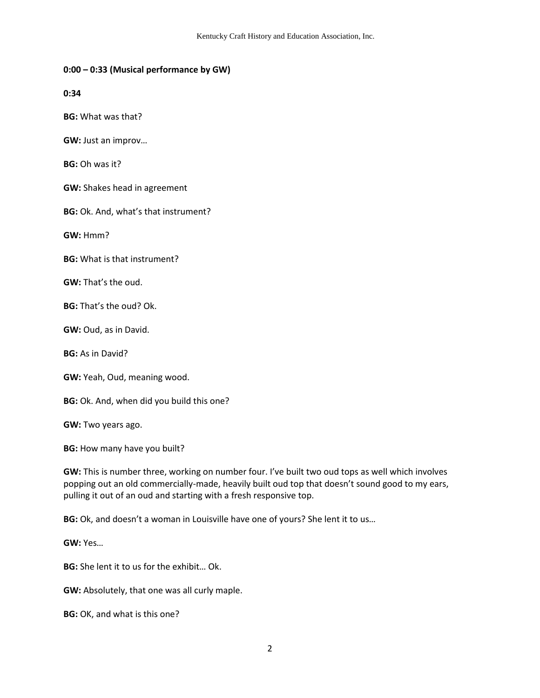## **0:00 – 0:33 (Musical performance by GW)**

**0:34**

**BG:** What was that?

**GW:** Just an improv…

**BG:** Oh was it?

**GW:** Shakes head in agreement

**BG:** Ok. And, what's that instrument?

**GW:** Hmm?

**BG:** What is that instrument?

**GW:** That's the oud.

**BG:** That's the oud? Ok.

**GW:** Oud, as in David.

**BG:** As in David?

**GW:** Yeah, Oud, meaning wood.

**BG:** Ok. And, when did you build this one?

**GW:** Two years ago.

**BG:** How many have you built?

**GW:** This is number three, working on number four. I've built two oud tops as well which involves popping out an old commercially-made, heavily built oud top that doesn't sound good to my ears, pulling it out of an oud and starting with a fresh responsive top.

**BG:** Ok, and doesn't a woman in Louisville have one of yours? She lent it to us…

**GW:** Yes…

**BG:** She lent it to us for the exhibit… Ok.

**GW:** Absolutely, that one was all curly maple.

**BG:** OK, and what is this one?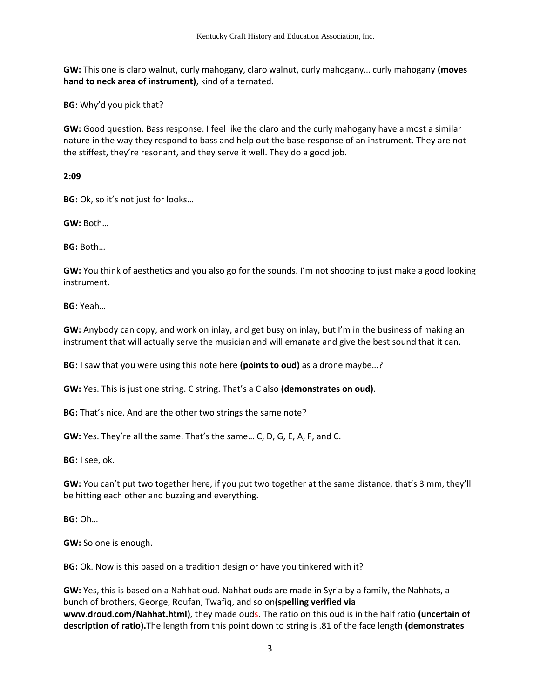**GW:** This one is claro walnut, curly mahogany, claro walnut, curly mahogany… curly mahogany **(moves hand to neck area of instrument)**, kind of alternated.

**BG:** Why'd you pick that?

**GW:** Good question. Bass response. I feel like the claro and the curly mahogany have almost a similar nature in the way they respond to bass and help out the base response of an instrument. They are not the stiffest, they're resonant, and they serve it well. They do a good job.

**2:09** 

**BG:** Ok, so it's not just for looks…

**GW:** Both…

**BG:** Both…

**GW:** You think of aesthetics and you also go for the sounds. I'm not shooting to just make a good looking instrument.

**BG:** Yeah…

**GW:** Anybody can copy, and work on inlay, and get busy on inlay, but I'm in the business of making an instrument that will actually serve the musician and will emanate and give the best sound that it can.

**BG:** I saw that you were using this note here **(points to oud)** as a drone maybe…?

**GW:** Yes. This is just one string. C string. That's a C also **(demonstrates on oud)**.

**BG:** That's nice. And are the other two strings the same note?

**GW:** Yes. They're all the same. That's the same… C, D, G, E, A, F, and C.

**BG:** I see, ok.

**GW:** You can't put two together here, if you put two together at the same distance, that's 3 mm, they'll be hitting each other and buzzing and everything.

**BG:** Oh…

**GW:** So one is enough.

**BG:** Ok. Now is this based on a tradition design or have you tinkered with it?

**GW:** Yes, this is based on a Nahhat oud. Nahhat ouds are made in Syria by a family, the Nahhats, a bunch of brothers, George, Roufan, Twafiq, and so on**(spelling verified via www.droud.com/Nahhat.html)**, they made ouds. The ratio on this oud is in the half ratio **(uncertain of description of ratio).**The length from this point down to string is .81 of the face length **(demonstrates**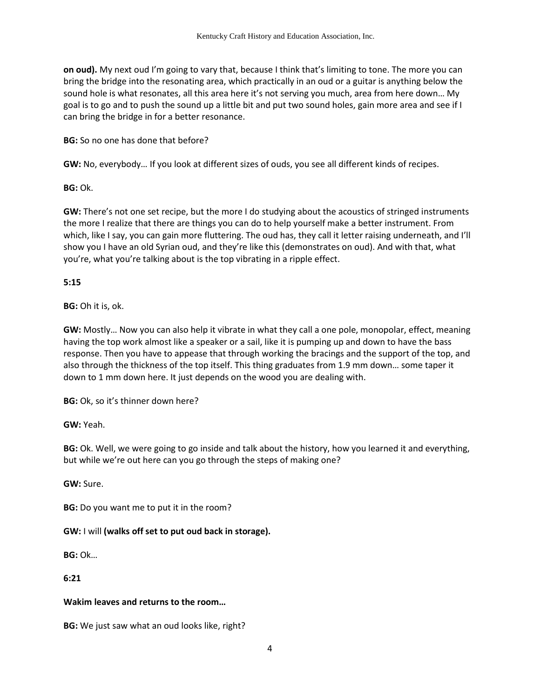**on oud).** My next oud I'm going to vary that, because I think that's limiting to tone. The more you can bring the bridge into the resonating area, which practically in an oud or a guitar is anything below the sound hole is what resonates, all this area here it's not serving you much, area from here down… My goal is to go and to push the sound up a little bit and put two sound holes, gain more area and see if I can bring the bridge in for a better resonance.

**BG:** So no one has done that before?

**GW:** No, everybody… If you look at different sizes of ouds, you see all different kinds of recipes.

**BG:** Ok.

**GW:** There's not one set recipe, but the more I do studying about the acoustics of stringed instruments the more I realize that there are things you can do to help yourself make a better instrument. From which, like I say, you can gain more fluttering. The oud has, they call it letter raising underneath, and I'll show you I have an old Syrian oud, and they're like this (demonstrates on oud). And with that, what you're, what you're talking about is the top vibrating in a ripple effect.

**5:15**

**BG:** Oh it is, ok.

**GW:** Mostly… Now you can also help it vibrate in what they call a one pole, monopolar, effect, meaning having the top work almost like a speaker or a sail, like it is pumping up and down to have the bass response. Then you have to appease that through working the bracings and the support of the top, and also through the thickness of the top itself. This thing graduates from 1.9 mm down… some taper it down to 1 mm down here. It just depends on the wood you are dealing with.

**BG:** Ok, so it's thinner down here?

**GW:** Yeah.

**BG:** Ok. Well, we were going to go inside and talk about the history, how you learned it and everything, but while we're out here can you go through the steps of making one?

**GW:** Sure.

**BG:** Do you want me to put it in the room?

**GW:** I will **(walks off set to put oud back in storage).** 

**BG:** Ok…

**6:21**

#### **Wakim leaves and returns to the room…**

**BG:** We just saw what an oud looks like, right?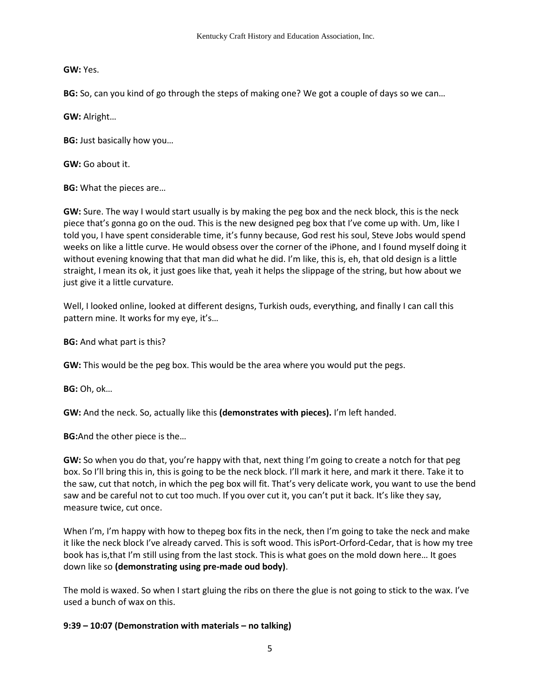**GW:** Yes.

**BG:** So, can you kind of go through the steps of making one? We got a couple of days so we can…

**GW:** Alright…

**BG:** Just basically how you…

**GW:** Go about it.

**BG:** What the pieces are…

**GW:** Sure. The way I would start usually is by making the peg box and the neck block, this is the neck piece that's gonna go on the oud. This is the new designed peg box that I've come up with. Um, like I told you, I have spent considerable time, it's funny because, God rest his soul, Steve Jobs would spend weeks on like a little curve. He would obsess over the corner of the iPhone, and I found myself doing it without evening knowing that that man did what he did. I'm like, this is, eh, that old design is a little straight, I mean its ok, it just goes like that, yeah it helps the slippage of the string, but how about we just give it a little curvature.

Well, I looked online, looked at different designs, Turkish ouds, everything, and finally I can call this pattern mine. It works for my eye, it's…

**BG:** And what part is this?

**GW:** This would be the peg box. This would be the area where you would put the pegs.

**BG:** Oh, ok…

**GW:** And the neck. So, actually like this **(demonstrates with pieces).** I'm left handed.

**BG:**And the other piece is the…

**GW:** So when you do that, you're happy with that, next thing I'm going to create a notch for that peg box. So I'll bring this in, this is going to be the neck block. I'll mark it here, and mark it there. Take it to the saw, cut that notch, in which the peg box will fit. That's very delicate work, you want to use the bend saw and be careful not to cut too much. If you over cut it, you can't put it back. It's like they say, measure twice, cut once.

When I'm, I'm happy with how to thepeg box fits in the neck, then I'm going to take the neck and make it like the neck block I've already carved. This is soft wood. This isPort-Orford-Cedar, that is how my tree book has is,that I'm still using from the last stock. This is what goes on the mold down here… It goes down like so **(demonstrating using pre-made oud body)**.

The mold is waxed. So when I start gluing the ribs on there the glue is not going to stick to the wax. I've used a bunch of wax on this.

# **9:39 – 10:07 (Demonstration with materials – no talking)**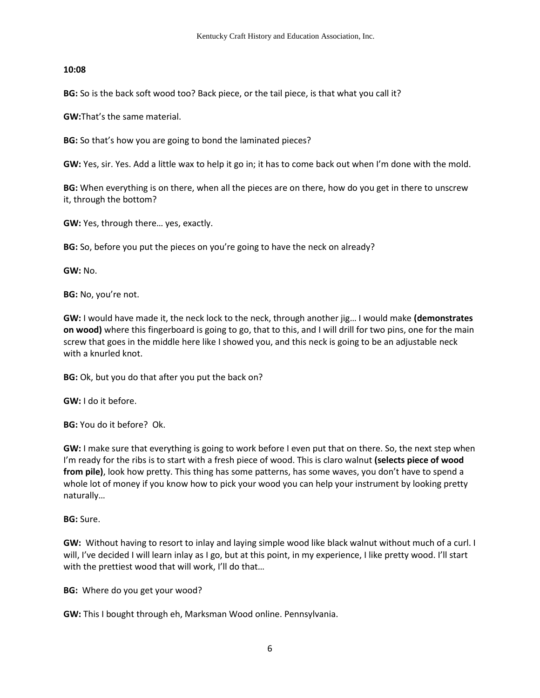## **10:08**

**BG:** So is the back soft wood too? Back piece, or the tail piece, is that what you call it?

**GW:**That's the same material.

**BG:** So that's how you are going to bond the laminated pieces?

**GW:** Yes, sir. Yes. Add a little wax to help it go in; it has to come back out when I'm done with the mold.

**BG:** When everything is on there, when all the pieces are on there, how do you get in there to unscrew it, through the bottom?

**GW:** Yes, through there… yes, exactly.

**BG:** So, before you put the pieces on you're going to have the neck on already?

**GW:** No.

**BG:** No, you're not.

**GW:** I would have made it, the neck lock to the neck, through another jig… I would make **(demonstrates on wood)** where this fingerboard is going to go, that to this, and I will drill for two pins, one for the main screw that goes in the middle here like I showed you, and this neck is going to be an adjustable neck with a knurled knot.

**BG:** Ok, but you do that after you put the back on?

**GW:** I do it before.

**BG:** You do it before? Ok.

**GW:** I make sure that everything is going to work before I even put that on there. So, the next step when I'm ready for the ribs is to start with a fresh piece of wood. This is claro walnut **(selects piece of wood from pile)**, look how pretty. This thing has some patterns, has some waves, you don't have to spend a whole lot of money if you know how to pick your wood you can help your instrument by looking pretty naturally…

**BG:** Sure.

**GW:** Without having to resort to inlay and laying simple wood like black walnut without much of a curl. I will, I've decided I will learn inlay as I go, but at this point, in my experience, I like pretty wood. I'll start with the prettiest wood that will work, I'll do that...

**BG:** Where do you get your wood?

**GW:** This I bought through eh, Marksman Wood online. Pennsylvania.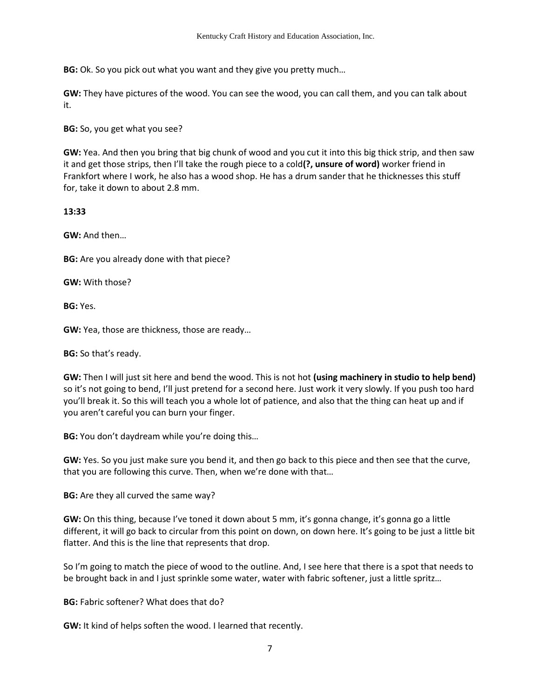**BG:** Ok. So you pick out what you want and they give you pretty much…

**GW:** They have pictures of the wood. You can see the wood, you can call them, and you can talk about it.

**BG:** So, you get what you see?

**GW:** Yea. And then you bring that big chunk of wood and you cut it into this big thick strip, and then saw it and get those strips, then I'll take the rough piece to a cold**(?, unsure of word)** worker friend in Frankfort where I work, he also has a wood shop. He has a drum sander that he thicknesses this stuff for, take it down to about 2.8 mm.

## **13:33**

**GW:** And then…

**BG:** Are you already done with that piece?

**GW:** With those?

**BG:** Yes.

**GW:** Yea, those are thickness, those are ready…

**BG:** So that's ready.

**GW:** Then I will just sit here and bend the wood. This is not hot **(using machinery in studio to help bend)** so it's not going to bend, I'll just pretend for a second here. Just work it very slowly. If you push too hard you'll break it. So this will teach you a whole lot of patience, and also that the thing can heat up and if you aren't careful you can burn your finger.

**BG:** You don't daydream while you're doing this…

**GW:** Yes. So you just make sure you bend it, and then go back to this piece and then see that the curve, that you are following this curve. Then, when we're done with that…

**BG:** Are they all curved the same way?

**GW:** On this thing, because I've toned it down about 5 mm, it's gonna change, it's gonna go a little different, it will go back to circular from this point on down, on down here. It's going to be just a little bit flatter. And this is the line that represents that drop.

So I'm going to match the piece of wood to the outline. And, I see here that there is a spot that needs to be brought back in and I just sprinkle some water, water with fabric softener, just a little spritz…

**BG:** Fabric softener? What does that do?

**GW:** It kind of helps soften the wood. I learned that recently.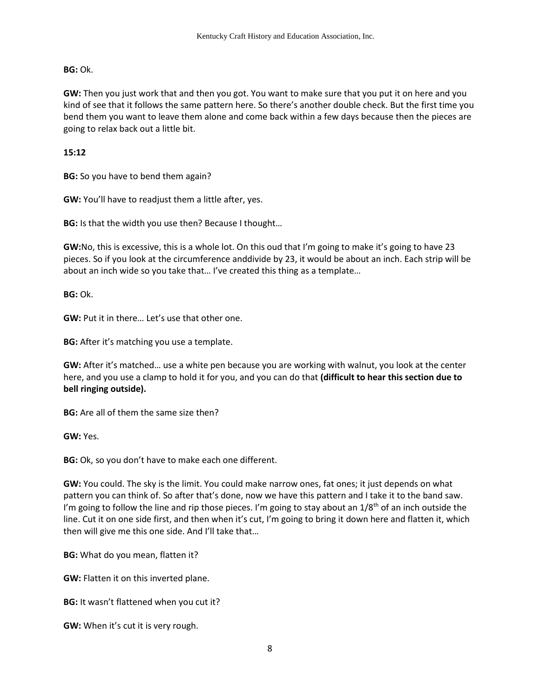**BG:** Ok.

**GW:** Then you just work that and then you got. You want to make sure that you put it on here and you kind of see that it follows the same pattern here. So there's another double check. But the first time you bend them you want to leave them alone and come back within a few days because then the pieces are going to relax back out a little bit.

**15:12** 

**BG:** So you have to bend them again?

**GW:** You'll have to readjust them a little after, yes.

**BG:** Is that the width you use then? Because I thought…

**GW:**No, this is excessive, this is a whole lot. On this oud that I'm going to make it's going to have 23 pieces. So if you look at the circumference anddivide by 23, it would be about an inch. Each strip will be about an inch wide so you take that… I've created this thing as a template…

**BG:** Ok.

**GW:** Put it in there… Let's use that other one.

**BG:** After it's matching you use a template.

**GW:** After it's matched… use a white pen because you are working with walnut, you look at the center here, and you use a clamp to hold it for you, and you can do that **(difficult to hear this section due to bell ringing outside).** 

**BG:** Are all of them the same size then?

**GW:** Yes.

**BG:** Ok, so you don't have to make each one different.

**GW:** You could. The sky is the limit. You could make narrow ones, fat ones; it just depends on what pattern you can think of. So after that's done, now we have this pattern and I take it to the band saw. I'm going to follow the line and rip those pieces. I'm going to stay about an  $1/8<sup>th</sup>$  of an inch outside the line. Cut it on one side first, and then when it's cut, I'm going to bring it down here and flatten it, which then will give me this one side. And I'll take that…

**BG:** What do you mean, flatten it?

**GW:** Flatten it on this inverted plane.

**BG:** It wasn't flattened when you cut it?

**GW:** When it's cut it is very rough.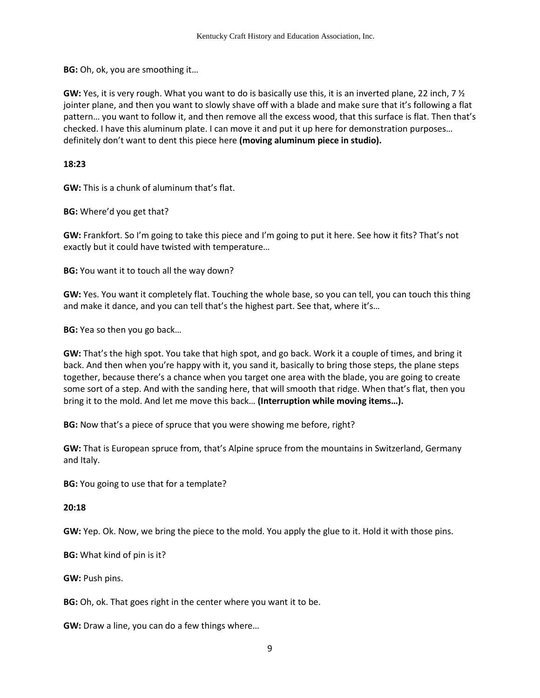**BG:** Oh, ok, you are smoothing it…

**GW:** Yes, it is very rough. What you want to do is basically use this, it is an inverted plane, 22 inch, 7 ½ jointer plane, and then you want to slowly shave off with a blade and make sure that it's following a flat pattern… you want to follow it, and then remove all the excess wood, that this surface is flat. Then that's checked. I have this aluminum plate. I can move it and put it up here for demonstration purposes… definitely don't want to dent this piece here **(moving aluminum piece in studio).** 

### **18:23**

**GW:** This is a chunk of aluminum that's flat.

**BG:** Where'd you get that?

**GW:** Frankfort. So I'm going to take this piece and I'm going to put it here. See how it fits? That's not exactly but it could have twisted with temperature…

**BG:** You want it to touch all the way down?

**GW:** Yes. You want it completely flat. Touching the whole base, so you can tell, you can touch this thing and make it dance, and you can tell that's the highest part. See that, where it's…

**BG:** Yea so then you go back…

**GW:** That's the high spot. You take that high spot, and go back. Work it a couple of times, and bring it back. And then when you're happy with it, you sand it, basically to bring those steps, the plane steps together, because there's a chance when you target one area with the blade, you are going to create some sort of a step. And with the sanding here, that will smooth that ridge. When that's flat, then you bring it to the mold. And let me move this back… **(Interruption while moving items…).**

**BG:** Now that's a piece of spruce that you were showing me before, right?

**GW:** That is European spruce from, that's Alpine spruce from the mountains in Switzerland, Germany and Italy.

**BG:** You going to use that for a template?

**20:18** 

**GW:** Yep. Ok. Now, we bring the piece to the mold. You apply the glue to it. Hold it with those pins.

**BG:** What kind of pin is it?

**GW:** Push pins.

**BG:** Oh, ok. That goes right in the center where you want it to be.

**GW:** Draw a line, you can do a few things where…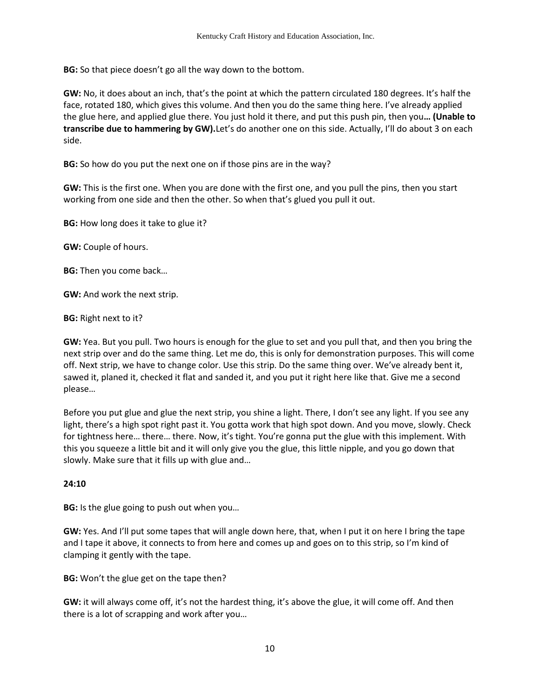**BG:** So that piece doesn't go all the way down to the bottom.

**GW:** No, it does about an inch, that's the point at which the pattern circulated 180 degrees. It's half the face, rotated 180, which gives this volume. And then you do the same thing here. I've already applied the glue here, and applied glue there. You just hold it there, and put this push pin, then you**… (Unable to transcribe due to hammering by GW).**Let's do another one on this side. Actually, I'll do about 3 on each side.

**BG:** So how do you put the next one on if those pins are in the way?

**GW:** This is the first one. When you are done with the first one, and you pull the pins, then you start working from one side and then the other. So when that's glued you pull it out.

**BG:** How long does it take to glue it?

**GW:** Couple of hours.

**BG:** Then you come back…

**GW:** And work the next strip.

**BG:** Right next to it?

**GW:** Yea. But you pull. Two hours is enough for the glue to set and you pull that, and then you bring the next strip over and do the same thing. Let me do, this is only for demonstration purposes. This will come off. Next strip, we have to change color. Use this strip. Do the same thing over. We've already bent it, sawed it, planed it, checked it flat and sanded it, and you put it right here like that. Give me a second please…

Before you put glue and glue the next strip, you shine a light. There, I don't see any light. If you see any light, there's a high spot right past it. You gotta work that high spot down. And you move, slowly. Check for tightness here… there… there. Now, it's tight. You're gonna put the glue with this implement. With this you squeeze a little bit and it will only give you the glue, this little nipple, and you go down that slowly. Make sure that it fills up with glue and…

# **24:10**

**BG:** Is the glue going to push out when you…

**GW:** Yes. And I'll put some tapes that will angle down here, that, when I put it on here I bring the tape and I tape it above, it connects to from here and comes up and goes on to this strip, so I'm kind of clamping it gently with the tape.

**BG:** Won't the glue get on the tape then?

**GW:** it will always come off, it's not the hardest thing, it's above the glue, it will come off. And then there is a lot of scrapping and work after you…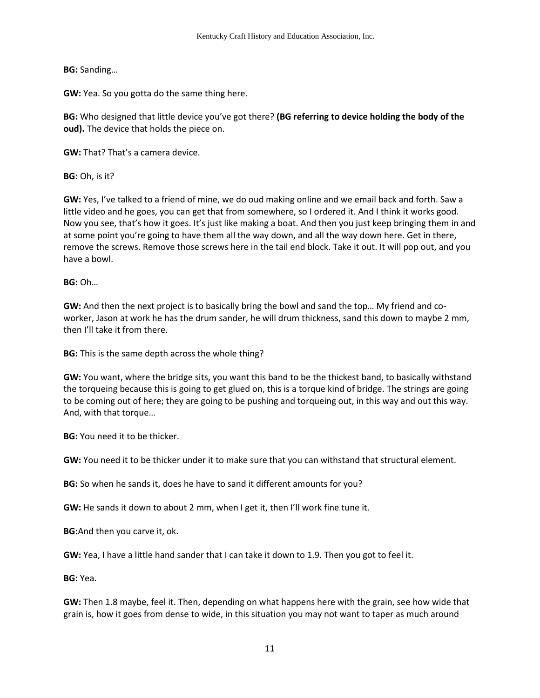**BG:** Sanding…

**GW:** Yea. So you gotta do the same thing here.

**BG:** Who designed that little device you've got there? **(BG referring to device holding the body of the oud).** The device that holds the piece on.

**GW:** That? That's a camera device.

**BG:** Oh, is it?

**GW:** Yes, I've talked to a friend of mine, we do oud making online and we email back and forth. Saw a little video and he goes, you can get that from somewhere, so I ordered it. And I think it works good. Now you see, that's how it goes. It's just like making a boat. And then you just keep bringing them in and at some point you're going to have them all the way down, and all the way down here. Get in there, remove the screws. Remove those screws here in the tail end block. Take it out. It will pop out, and you have a bowl.

**BG:** Oh…

**GW:** And then the next project is to basically bring the bowl and sand the top… My friend and coworker, Jason at work he has the drum sander, he will drum thickness, sand this down to maybe 2 mm, then I'll take it from there.

**BG:** This is the same depth across the whole thing?

**GW:** You want, where the bridge sits, you want this band to be the thickest band, to basically withstand the torqueing because this is going to get glued on, this is a torque kind of bridge. The strings are going to be coming out of here; they are going to be pushing and torqueing out, in this way and out this way. And, with that torque…

**BG:** You need it to be thicker.

**GW:** You need it to be thicker under it to make sure that you can withstand that structural element.

**BG:** So when he sands it, does he have to sand it different amounts for you?

**GW:** He sands it down to about 2 mm, when I get it, then I'll work fine tune it.

**BG:**And then you carve it, ok.

**GW:** Yea, I have a little hand sander that I can take it down to 1.9. Then you got to feel it.

**BG:** Yea.

**GW:** Then 1.8 maybe, feel it. Then, depending on what happens here with the grain, see how wide that grain is, how it goes from dense to wide, in this situation you may not want to taper as much around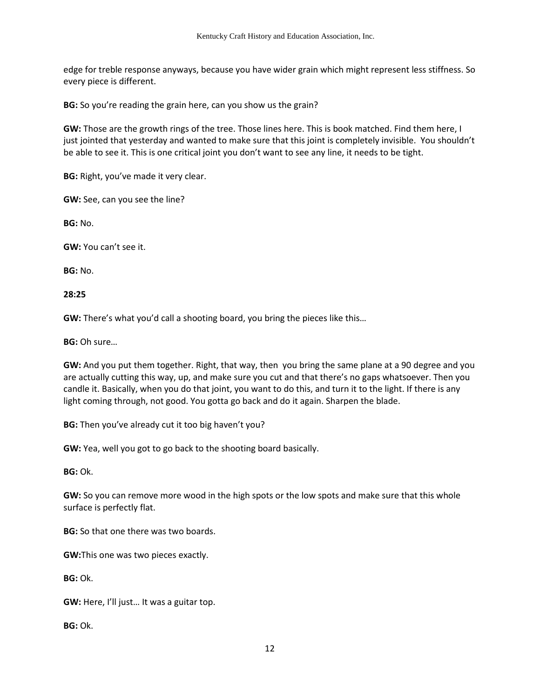edge for treble response anyways, because you have wider grain which might represent less stiffness. So every piece is different.

**BG:** So you're reading the grain here, can you show us the grain?

**GW:** Those are the growth rings of the tree. Those lines here. This is book matched. Find them here, I just jointed that yesterday and wanted to make sure that this joint is completely invisible. You shouldn't be able to see it. This is one critical joint you don't want to see any line, it needs to be tight.

**BG:** Right, you've made it very clear.

**GW:** See, can you see the line?

**BG:** No.

**GW:** You can't see it.

**BG:** No.

**28:25**

**GW:** There's what you'd call a shooting board, you bring the pieces like this…

**BG:** Oh sure…

**GW:** And you put them together. Right, that way, then you bring the same plane at a 90 degree and you are actually cutting this way, up, and make sure you cut and that there's no gaps whatsoever. Then you candle it. Basically, when you do that joint, you want to do this, and turn it to the light. If there is any light coming through, not good. You gotta go back and do it again. Sharpen the blade.

**BG:** Then you've already cut it too big haven't you?

**GW:** Yea, well you got to go back to the shooting board basically.

**BG:** Ok.

**GW:** So you can remove more wood in the high spots or the low spots and make sure that this whole surface is perfectly flat.

**BG:** So that one there was two boards.

**GW:**This one was two pieces exactly.

**BG:** Ok.

**GW:** Here, I'll just… It was a guitar top.

**BG:** Ok.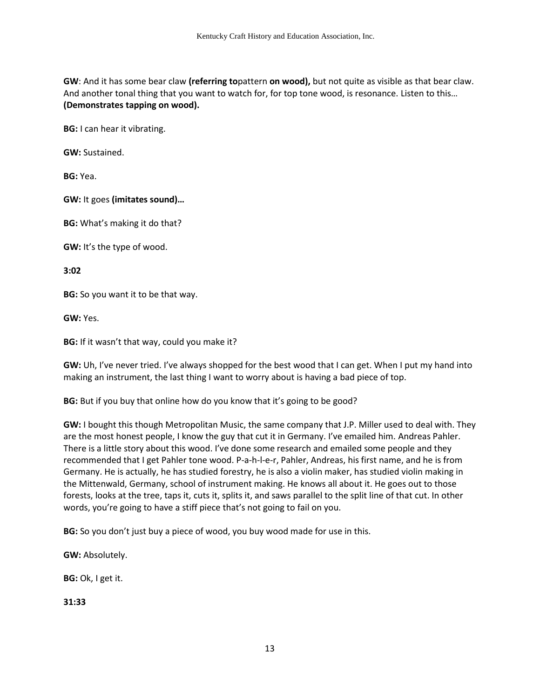**GW**: And it has some bear claw **(referring to**pattern **on wood),** but not quite as visible as that bear claw. And another tonal thing that you want to watch for, for top tone wood, is resonance. Listen to this… **(Demonstrates tapping on wood).**

**BG:** I can hear it vibrating.

**GW:** Sustained.

**BG:** Yea.

**GW:** It goes **(imitates sound)…**

**BG:** What's making it do that?

**GW:** It's the type of wood.

**3:02**

**BG:** So you want it to be that way.

**GW:** Yes.

**BG:** If it wasn't that way, could you make it?

**GW:** Uh, I've never tried. I've always shopped for the best wood that I can get. When I put my hand into making an instrument, the last thing I want to worry about is having a bad piece of top.

**BG:** But if you buy that online how do you know that it's going to be good?

**GW:** I bought this though Metropolitan Music, the same company that J.P. Miller used to deal with. They are the most honest people, I know the guy that cut it in Germany. I've emailed him. Andreas Pahler. There is a little story about this wood. I've done some research and emailed some people and they recommended that I get Pahler tone wood. P-a-h-l-e-r, Pahler, Andreas, his first name, and he is from Germany. He is actually, he has studied forestry, he is also a violin maker, has studied violin making in the Mittenwald, Germany, school of instrument making. He knows all about it. He goes out to those forests, looks at the tree, taps it, cuts it, splits it, and saws parallel to the split line of that cut. In other words, you're going to have a stiff piece that's not going to fail on you.

**BG:** So you don't just buy a piece of wood, you buy wood made for use in this.

**GW:** Absolutely.

**BG:** Ok, I get it.

**31:33**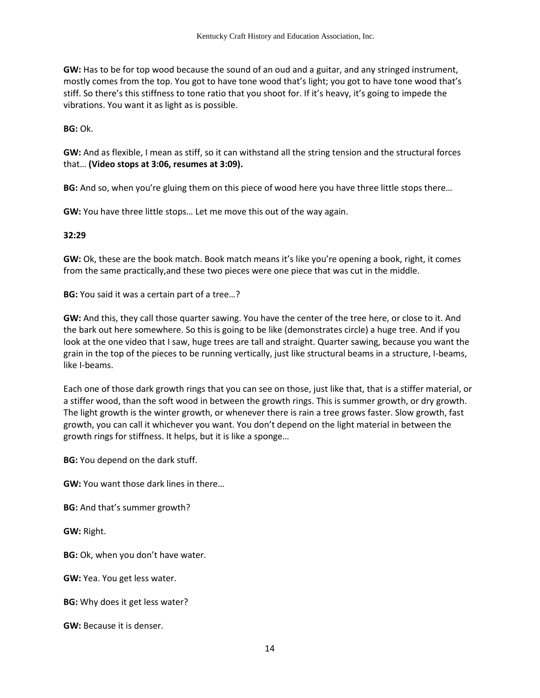**GW:** Has to be for top wood because the sound of an oud and a guitar, and any stringed instrument, mostly comes from the top. You got to have tone wood that's light; you got to have tone wood that's stiff. So there's this stiffness to tone ratio that you shoot for. If it's heavy, it's going to impede the vibrations. You want it as light as is possible.

**BG:** Ok.

**GW:** And as flexible, I mean as stiff, so it can withstand all the string tension and the structural forces that… **(Video stops at 3:06, resumes at 3:09).**

**BG:** And so, when you're gluing them on this piece of wood here you have three little stops there…

**GW:** You have three little stops… Let me move this out of the way again.

### **32:29**

**GW:** Ok, these are the book match. Book match means it's like you're opening a book, right, it comes from the same practically,and these two pieces were one piece that was cut in the middle.

**BG:** You said it was a certain part of a tree…?

**GW:** And this, they call those quarter sawing. You have the center of the tree here, or close to it. And the bark out here somewhere. So this is going to be like (demonstrates circle) a huge tree. And if you look at the one video that I saw, huge trees are tall and straight. Quarter sawing, because you want the grain in the top of the pieces to be running vertically, just like structural beams in a structure, I-beams, like I-beams.

Each one of those dark growth rings that you can see on those, just like that, that is a stiffer material, or a stiffer wood, than the soft wood in between the growth rings. This is summer growth, or dry growth. The light growth is the winter growth, or whenever there is rain a tree grows faster. Slow growth, fast growth, you can call it whichever you want. You don't depend on the light material in between the growth rings for stiffness. It helps, but it is like a sponge…

**BG:** You depend on the dark stuff.

**GW:** You want those dark lines in there…

**BG:** And that's summer growth?

**GW:** Right.

**BG:** Ok, when you don't have water.

**GW:** Yea. You get less water.

**BG:** Why does it get less water?

**GW:** Because it is denser.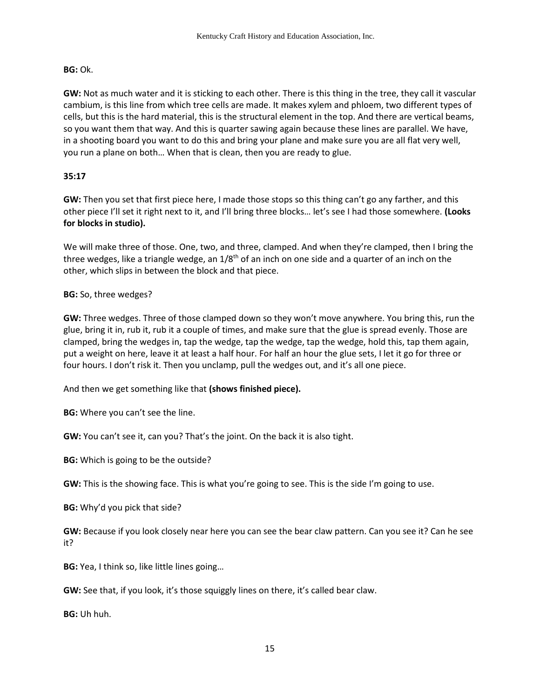## **BG:** Ok.

**GW:** Not as much water and it is sticking to each other. There is this thing in the tree, they call it vascular cambium, is this line from which tree cells are made. It makes xylem and phloem, two different types of cells, but this is the hard material, this is the structural element in the top. And there are vertical beams, so you want them that way. And this is quarter sawing again because these lines are parallel. We have, in a shooting board you want to do this and bring your plane and make sure you are all flat very well, you run a plane on both… When that is clean, then you are ready to glue.

# **35:17**

**GW:** Then you set that first piece here, I made those stops so this thing can't go any farther, and this other piece I'll set it right next to it, and I'll bring three blocks… let's see I had those somewhere. **(Looks for blocks in studio).** 

We will make three of those. One, two, and three, clamped. And when they're clamped, then I bring the three wedges, like a triangle wedge, an  $1/8<sup>th</sup>$  of an inch on one side and a quarter of an inch on the other, which slips in between the block and that piece.

## **BG:** So, three wedges?

**GW:** Three wedges. Three of those clamped down so they won't move anywhere. You bring this, run the glue, bring it in, rub it, rub it a couple of times, and make sure that the glue is spread evenly. Those are clamped, bring the wedges in, tap the wedge, tap the wedge, tap the wedge, hold this, tap them again, put a weight on here, leave it at least a half hour. For half an hour the glue sets, I let it go for three or four hours. I don't risk it. Then you unclamp, pull the wedges out, and it's all one piece.

And then we get something like that **(shows finished piece).** 

**BG:** Where you can't see the line.

**GW:** You can't see it, can you? That's the joint. On the back it is also tight.

**BG:** Which is going to be the outside?

**GW:** This is the showing face. This is what you're going to see. This is the side I'm going to use.

**BG:** Why'd you pick that side?

**GW:** Because if you look closely near here you can see the bear claw pattern. Can you see it? Can he see it?

**BG:** Yea, I think so, like little lines going…

**GW:** See that, if you look, it's those squiggly lines on there, it's called bear claw.

**BG:** Uh huh.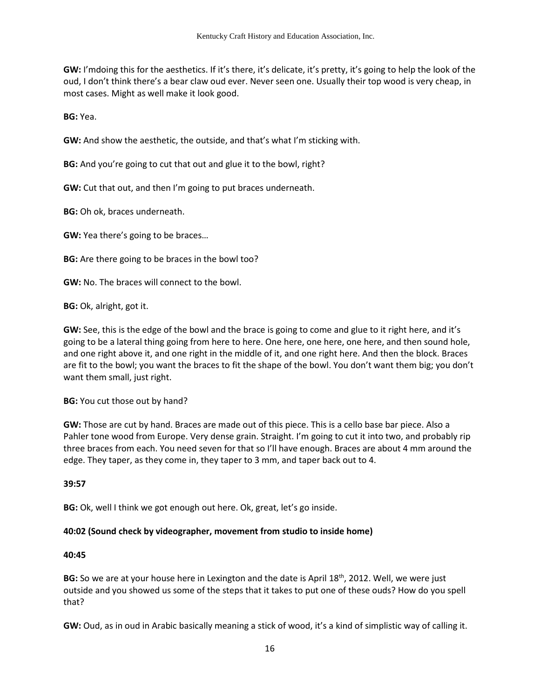**GW:** I'mdoing this for the aesthetics. If it's there, it's delicate, it's pretty, it's going to help the look of the oud, I don't think there's a bear claw oud ever. Never seen one. Usually their top wood is very cheap, in most cases. Might as well make it look good.

**BG:** Yea.

**GW:** And show the aesthetic, the outside, and that's what I'm sticking with.

**BG:** And you're going to cut that out and glue it to the bowl, right?

**GW:** Cut that out, and then I'm going to put braces underneath.

**BG:** Oh ok, braces underneath.

**GW:** Yea there's going to be braces…

**BG:** Are there going to be braces in the bowl too?

**GW:** No. The braces will connect to the bowl.

**BG:** Ok, alright, got it.

**GW:** See, this is the edge of the bowl and the brace is going to come and glue to it right here, and it's going to be a lateral thing going from here to here. One here, one here, one here, and then sound hole, and one right above it, and one right in the middle of it, and one right here. And then the block. Braces are fit to the bowl; you want the braces to fit the shape of the bowl. You don't want them big; you don't want them small, just right.

**BG:** You cut those out by hand?

**GW:** Those are cut by hand. Braces are made out of this piece. This is a cello base bar piece. Also a Pahler tone wood from Europe. Very dense grain. Straight. I'm going to cut it into two, and probably rip three braces from each. You need seven for that so I'll have enough. Braces are about 4 mm around the edge. They taper, as they come in, they taper to 3 mm, and taper back out to 4.

**39:57** 

**BG:** Ok, well I think we got enough out here. Ok, great, let's go inside.

## **40:02 (Sound check by videographer, movement from studio to inside home)**

#### **40:45**

**BG:** So we are at your house here in Lexington and the date is April 18<sup>th</sup>, 2012. Well, we were just outside and you showed us some of the steps that it takes to put one of these ouds? How do you spell that?

**GW:** Oud, as in oud in Arabic basically meaning a stick of wood, it's a kind of simplistic way of calling it.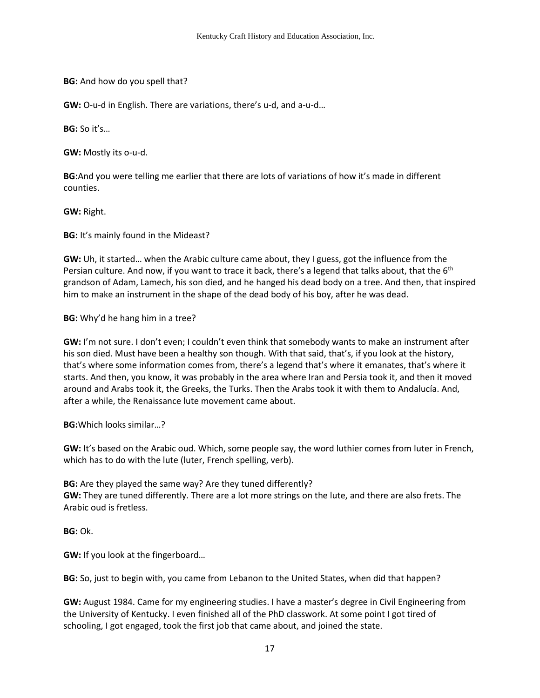**BG:** And how do you spell that?

**GW:** O-u-d in English. There are variations, there's u-d, and a-u-d…

**BG:** So it's…

**GW:** Mostly its o-u-d.

**BG:**And you were telling me earlier that there are lots of variations of how it's made in different counties.

**GW:** Right.

**BG:** It's mainly found in the Mideast?

**GW:** Uh, it started… when the Arabic culture came about, they I guess, got the influence from the Persian culture. And now, if you want to trace it back, there's a legend that talks about, that the 6<sup>th</sup> grandson of Adam, Lamech, his son died, and he hanged his dead body on a tree. And then, that inspired him to make an instrument in the shape of the dead body of his boy, after he was dead.

**BG:** Why'd he hang him in a tree?

**GW:** I'm not sure. I don't even; I couldn't even think that somebody wants to make an instrument after his son died. Must have been a healthy son though. With that said, that's, if you look at the history, that's where some information comes from, there's a legend that's where it emanates, that's where it starts. And then, you know, it was probably in the area where Iran and Persia took it, and then it moved around and Arabs took it, the Greeks, the Turks. Then the Arabs took it with them to Andalucía. And, after a while, the Renaissance lute movement came about.

**BG:**Which looks similar…?

**GW:** It's based on the Arabic oud. Which, some people say, the word luthier comes from luter in French, which has to do with the lute (luter, French spelling, verb).

**BG:** Are they played the same way? Are they tuned differently? **GW:** They are tuned differently. There are a lot more strings on the lute, and there are also frets. The Arabic oud is fretless.

**BG:** Ok.

**GW:** If you look at the fingerboard…

**BG:** So, just to begin with, you came from Lebanon to the United States, when did that happen?

**GW:** August 1984. Came for my engineering studies. I have a master's degree in Civil Engineering from the University of Kentucky. I even finished all of the PhD classwork. At some point I got tired of schooling, I got engaged, took the first job that came about, and joined the state.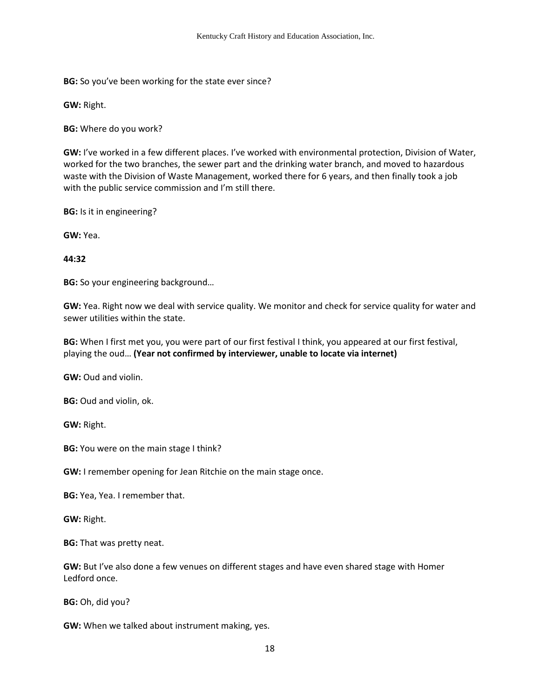**BG:** So you've been working for the state ever since?

**GW:** Right.

**BG:** Where do you work?

**GW:** I've worked in a few different places. I've worked with environmental protection, Division of Water, worked for the two branches, the sewer part and the drinking water branch, and moved to hazardous waste with the Division of Waste Management, worked there for 6 years, and then finally took a job with the public service commission and I'm still there.

**BG:** Is it in engineering?

**GW:** Yea.

### **44:32**

**BG:** So your engineering background…

**GW:** Yea. Right now we deal with service quality. We monitor and check for service quality for water and sewer utilities within the state.

**BG:** When I first met you, you were part of our first festival I think, you appeared at our first festival, playing the oud… **(Year not confirmed by interviewer, unable to locate via internet)**

**GW:** Oud and violin.

**BG:** Oud and violin, ok.

**GW:** Right.

**BG:** You were on the main stage I think?

**GW:** I remember opening for Jean Ritchie on the main stage once.

**BG:** Yea, Yea. I remember that.

**GW:** Right.

**BG:** That was pretty neat.

**GW:** But I've also done a few venues on different stages and have even shared stage with Homer Ledford once.

**BG:** Oh, did you?

**GW:** When we talked about instrument making, yes.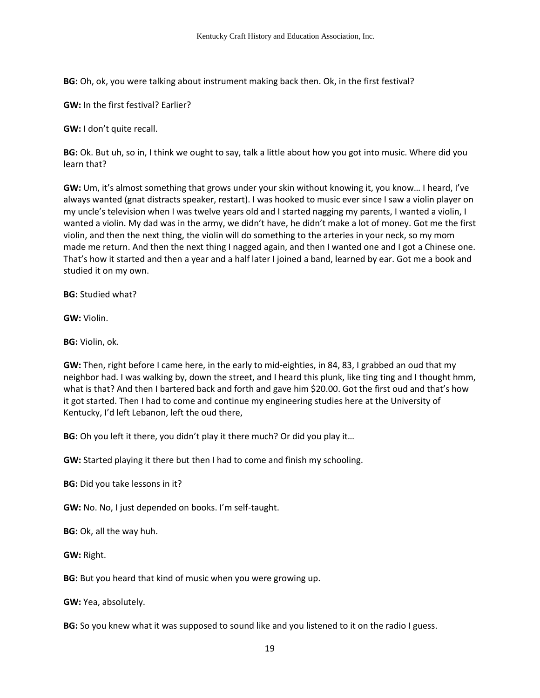**BG:** Oh, ok, you were talking about instrument making back then. Ok, in the first festival?

**GW:** In the first festival? Earlier?

**GW:** I don't quite recall.

**BG:** Ok. But uh, so in, I think we ought to say, talk a little about how you got into music. Where did you learn that?

**GW:** Um, it's almost something that grows under your skin without knowing it, you know… I heard, I've always wanted (gnat distracts speaker, restart). I was hooked to music ever since I saw a violin player on my uncle's television when I was twelve years old and I started nagging my parents, I wanted a violin, I wanted a violin. My dad was in the army, we didn't have, he didn't make a lot of money. Got me the first violin, and then the next thing, the violin will do something to the arteries in your neck, so my mom made me return. And then the next thing I nagged again, and then I wanted one and I got a Chinese one. That's how it started and then a year and a half later I joined a band, learned by ear. Got me a book and studied it on my own.

**BG:** Studied what?

**GW:** Violin.

**BG:** Violin, ok.

**GW:** Then, right before I came here, in the early to mid-eighties, in 84, 83, I grabbed an oud that my neighbor had. I was walking by, down the street, and I heard this plunk, like ting ting and I thought hmm, what is that? And then I bartered back and forth and gave him \$20.00. Got the first oud and that's how it got started. Then I had to come and continue my engineering studies here at the University of Kentucky, I'd left Lebanon, left the oud there,

**BG:** Oh you left it there, you didn't play it there much? Or did you play it…

**GW:** Started playing it there but then I had to come and finish my schooling.

**BG:** Did you take lessons in it?

**GW:** No. No, I just depended on books. I'm self-taught.

**BG:** Ok, all the way huh.

**GW:** Right.

**BG:** But you heard that kind of music when you were growing up.

**GW:** Yea, absolutely.

**BG:** So you knew what it was supposed to sound like and you listened to it on the radio I guess.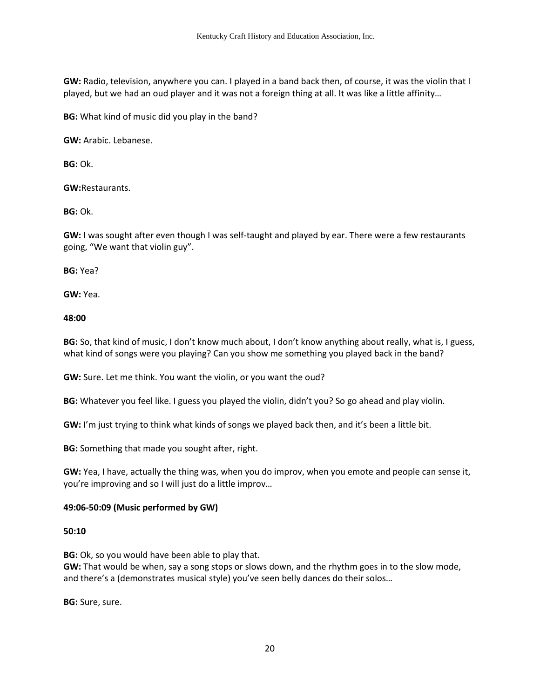**GW:** Radio, television, anywhere you can. I played in a band back then, of course, it was the violin that I played, but we had an oud player and it was not a foreign thing at all. It was like a little affinity…

**BG:** What kind of music did you play in the band?

**GW:** Arabic. Lebanese.

**BG:** Ok.

**GW:**Restaurants.

**BG:** Ok.

**GW:** I was sought after even though I was self-taught and played by ear. There were a few restaurants going, "We want that violin guy".

**BG:** Yea?

**GW:** Yea.

**48:00** 

**BG:** So, that kind of music, I don't know much about, I don't know anything about really, what is, I guess, what kind of songs were you playing? Can you show me something you played back in the band?

**GW:** Sure. Let me think. You want the violin, or you want the oud?

**BG:** Whatever you feel like. I guess you played the violin, didn't you? So go ahead and play violin.

**GW:** I'm just trying to think what kinds of songs we played back then, and it's been a little bit.

**BG:** Something that made you sought after, right.

**GW:** Yea, I have, actually the thing was, when you do improv, when you emote and people can sense it, you're improving and so I will just do a little improv…

## **49:06-50:09 (Music performed by GW)**

#### **50:10**

**BG:** Ok, so you would have been able to play that.

**GW:** That would be when, say a song stops or slows down, and the rhythm goes in to the slow mode, and there's a (demonstrates musical style) you've seen belly dances do their solos…

**BG:** Sure, sure.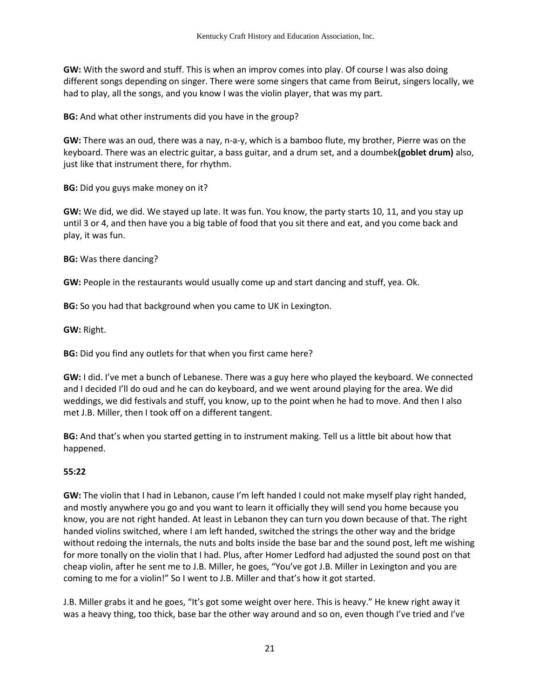**GW:** With the sword and stuff. This is when an improv comes into play. Of course I was also doing different songs depending on singer. There were some singers that came from Beirut, singers locally, we had to play, all the songs, and you know I was the violin player, that was my part.

**BG:** And what other instruments did you have in the group?

**GW:** There was an oud, there was a nay, n-a-y, which is a bamboo flute, my brother, Pierre was on the keyboard. There was an electric guitar, a bass guitar, and a drum set, and a doumbek**(goblet drum)** also, just like that instrument there, for rhythm.

**BG:** Did you guys make money on it?

**GW:** We did, we did. We stayed up late. It was fun. You know, the party starts 10, 11, and you stay up until 3 or 4, and then have you a big table of food that you sit there and eat, and you come back and play, it was fun.

**BG:** Was there dancing?

**GW:** People in the restaurants would usually come up and start dancing and stuff, yea. Ok.

**BG:** So you had that background when you came to UK in Lexington.

**GW:** Right.

**BG:** Did you find any outlets for that when you first came here?

**GW:** I did. I've met a bunch of Lebanese. There was a guy here who played the keyboard. We connected and I decided I'll do oud and he can do keyboard, and we went around playing for the area. We did weddings, we did festivals and stuff, you know, up to the point when he had to move. And then I also met J.B. Miller, then I took off on a different tangent.

**BG:** And that's when you started getting in to instrument making. Tell us a little bit about how that happened.

# **55:22**

**GW:** The violin that I had in Lebanon, cause I'm left handed I could not make myself play right handed, and mostly anywhere you go and you want to learn it officially they will send you home because you know, you are not right handed. At least in Lebanon they can turn you down because of that. The right handed violins switched, where I am left handed, switched the strings the other way and the bridge without redoing the internals, the nuts and bolts inside the base bar and the sound post, left me wishing for more tonally on the violin that I had. Plus, after Homer Ledford had adjusted the sound post on that cheap violin, after he sent me to J.B. Miller, he goes, "You've got J.B. Miller in Lexington and you are coming to me for a violin!" So I went to J.B. Miller and that's how it got started.

J.B. Miller grabs it and he goes, "It's got some weight over here. This is heavy." He knew right away it was a heavy thing, too thick, base bar the other way around and so on, even though I've tried and I've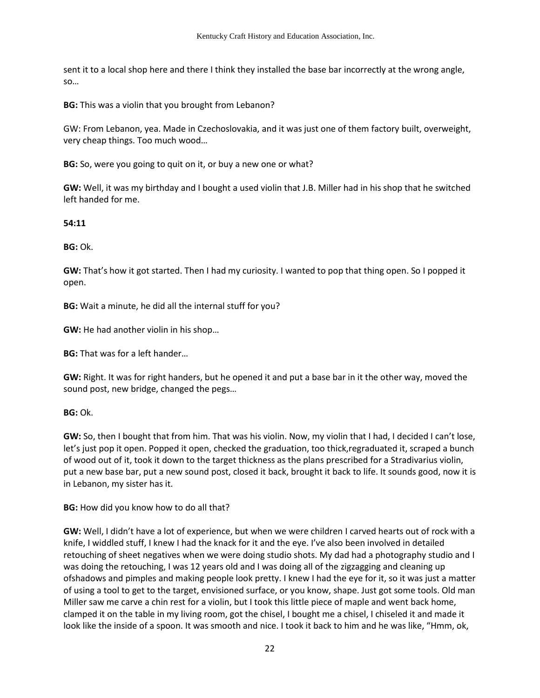sent it to a local shop here and there I think they installed the base bar incorrectly at the wrong angle, so…

**BG:** This was a violin that you brought from Lebanon?

GW: From Lebanon, yea. Made in Czechoslovakia, and it was just one of them factory built, overweight, very cheap things. Too much wood…

**BG:** So, were you going to quit on it, or buy a new one or what?

**GW:** Well, it was my birthday and I bought a used violin that J.B. Miller had in his shop that he switched left handed for me.

### **54:11**

**BG:** Ok.

**GW:** That's how it got started. Then I had my curiosity. I wanted to pop that thing open. So I popped it open.

**BG:** Wait a minute, he did all the internal stuff for you?

**GW:** He had another violin in his shop…

**BG:** That was for a left hander…

**GW:** Right. It was for right handers, but he opened it and put a base bar in it the other way, moved the sound post, new bridge, changed the pegs…

**BG:** Ok.

**GW:** So, then I bought that from him. That was his violin. Now, my violin that I had, I decided I can't lose, let's just pop it open. Popped it open, checked the graduation, too thick,regraduated it, scraped a bunch of wood out of it, took it down to the target thickness as the plans prescribed for a Stradivarius violin, put a new base bar, put a new sound post, closed it back, brought it back to life. It sounds good, now it is in Lebanon, my sister has it.

**BG:** How did you know how to do all that?

**GW:** Well, I didn't have a lot of experience, but when we were children I carved hearts out of rock with a knife, I widdled stuff, I knew I had the knack for it and the eye. I've also been involved in detailed retouching of sheet negatives when we were doing studio shots. My dad had a photography studio and I was doing the retouching, I was 12 years old and I was doing all of the zigzagging and cleaning up ofshadows and pimples and making people look pretty. I knew I had the eye for it, so it was just a matter of using a tool to get to the target, envisioned surface, or you know, shape. Just got some tools. Old man Miller saw me carve a chin rest for a violin, but I took this little piece of maple and went back home, clamped it on the table in my living room, got the chisel, I bought me a chisel, I chiseled it and made it look like the inside of a spoon. It was smooth and nice. I took it back to him and he was like, "Hmm, ok,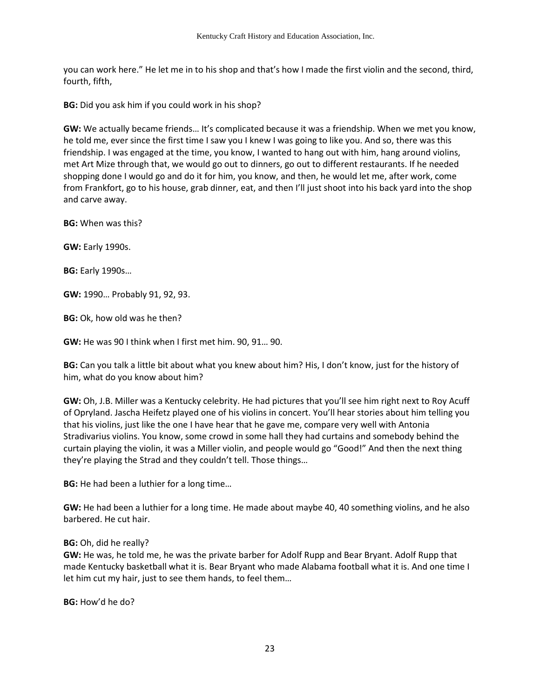you can work here." He let me in to his shop and that's how I made the first violin and the second, third, fourth, fifth,

**BG:** Did you ask him if you could work in his shop?

**GW:** We actually became friends… It's complicated because it was a friendship. When we met you know, he told me, ever since the first time I saw you I knew I was going to like you. And so, there was this friendship. I was engaged at the time, you know, I wanted to hang out with him, hang around violins, met Art Mize through that, we would go out to dinners, go out to different restaurants. If he needed shopping done I would go and do it for him, you know, and then, he would let me, after work, come from Frankfort, go to his house, grab dinner, eat, and then I'll just shoot into his back yard into the shop and carve away.

**BG:** When was this?

**GW:** Early 1990s.

**BG:** Early 1990s…

**GW:** 1990… Probably 91, 92, 93.

**BG:** Ok, how old was he then?

**GW:** He was 90 I think when I first met him. 90, 91… 90.

**BG:** Can you talk a little bit about what you knew about him? His, I don't know, just for the history of him, what do you know about him?

**GW:** Oh, J.B. Miller was a Kentucky celebrity. He had pictures that you'll see him right next to Roy Acuff of Opryland. Jascha Heifetz played one of his violins in concert. You'll hear stories about him telling you that his violins, just like the one I have hear that he gave me, compare very well with Antonia Stradivarius violins. You know, some crowd in some hall they had curtains and somebody behind the curtain playing the violin, it was a Miller violin, and people would go "Good!" And then the next thing they're playing the Strad and they couldn't tell. Those things…

**BG:** He had been a luthier for a long time…

**GW:** He had been a luthier for a long time. He made about maybe 40, 40 something violins, and he also barbered. He cut hair.

#### **BG:** Oh, did he really?

**GW:** He was, he told me, he was the private barber for Adolf Rupp and Bear Bryant. Adolf Rupp that made Kentucky basketball what it is. Bear Bryant who made Alabama football what it is. And one time I let him cut my hair, just to see them hands, to feel them…

**BG:** How'd he do?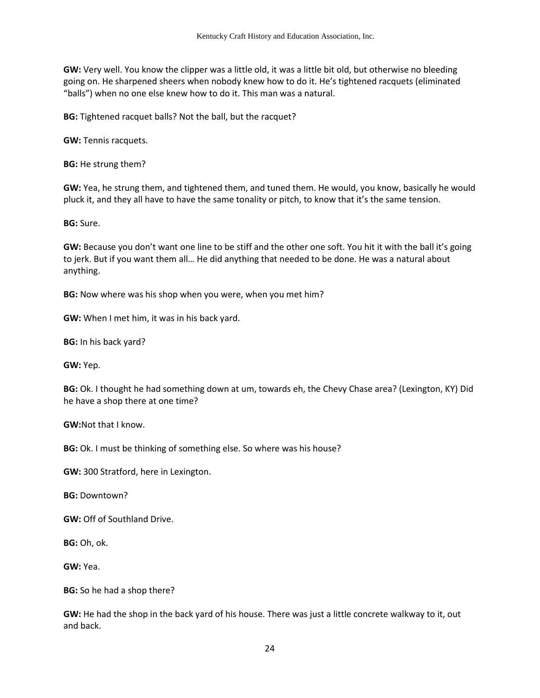**GW:** Very well. You know the clipper was a little old, it was a little bit old, but otherwise no bleeding going on. He sharpened sheers when nobody knew how to do it. He's tightened racquets (eliminated "balls") when no one else knew how to do it. This man was a natural.

**BG:** Tightened racquet balls? Not the ball, but the racquet?

**GW:** Tennis racquets.

**BG:** He strung them?

**GW:** Yea, he strung them, and tightened them, and tuned them. He would, you know, basically he would pluck it, and they all have to have the same tonality or pitch, to know that it's the same tension.

**BG:** Sure.

**GW:** Because you don't want one line to be stiff and the other one soft. You hit it with the ball it's going to jerk. But if you want them all… He did anything that needed to be done. He was a natural about anything.

**BG:** Now where was his shop when you were, when you met him?

**GW:** When I met him, it was in his back yard.

**BG:** In his back yard?

**GW:** Yep.

**BG:** Ok. I thought he had something down at um, towards eh, the Chevy Chase area? (Lexington, KY) Did he have a shop there at one time?

**GW:**Not that I know.

**BG:** Ok. I must be thinking of something else. So where was his house?

**GW:** 300 Stratford, here in Lexington.

**BG:** Downtown?

**GW:** Off of Southland Drive.

**BG:** Oh, ok.

**GW:** Yea.

**BG:** So he had a shop there?

**GW:** He had the shop in the back yard of his house. There was just a little concrete walkway to it, out and back.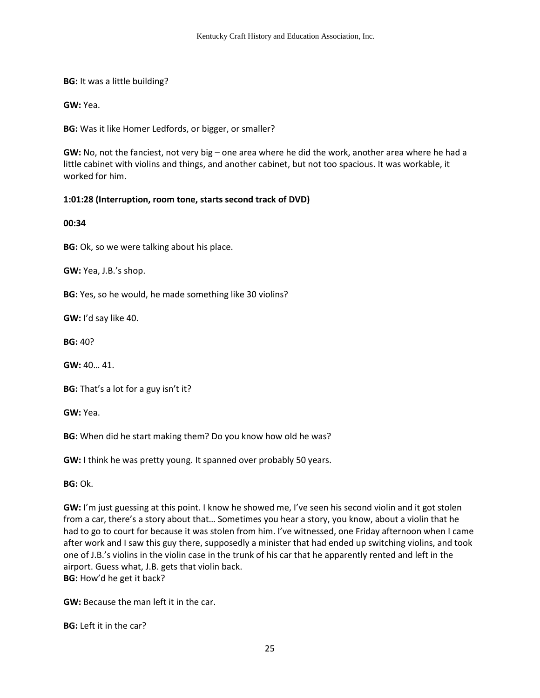**BG:** It was a little building?

**GW:** Yea.

**BG:** Was it like Homer Ledfords, or bigger, or smaller?

**GW:** No, not the fanciest, not very big – one area where he did the work, another area where he had a little cabinet with violins and things, and another cabinet, but not too spacious. It was workable, it worked for him.

### **1:01:28 (Interruption, room tone, starts second track of DVD)**

**00:34**

**BG:** Ok, so we were talking about his place.

**GW:** Yea, J.B.'s shop.

**BG:** Yes, so he would, he made something like 30 violins?

**GW:** I'd say like 40.

**BG:** 40?

**GW:** 40… 41.

**BG:** That's a lot for a guy isn't it?

**GW:** Yea.

**BG:** When did he start making them? Do you know how old he was?

**GW:** I think he was pretty young. It spanned over probably 50 years.

**BG:** Ok.

**GW:** I'm just guessing at this point. I know he showed me, I've seen his second violin and it got stolen from a car, there's a story about that… Sometimes you hear a story, you know, about a violin that he had to go to court for because it was stolen from him. I've witnessed, one Friday afternoon when I came after work and I saw this guy there, supposedly a minister that had ended up switching violins, and took one of J.B.'s violins in the violin case in the trunk of his car that he apparently rented and left in the airport. Guess what, J.B. gets that violin back. **BG:** How'd he get it back?

**GW:** Because the man left it in the car.

**BG:** Left it in the car?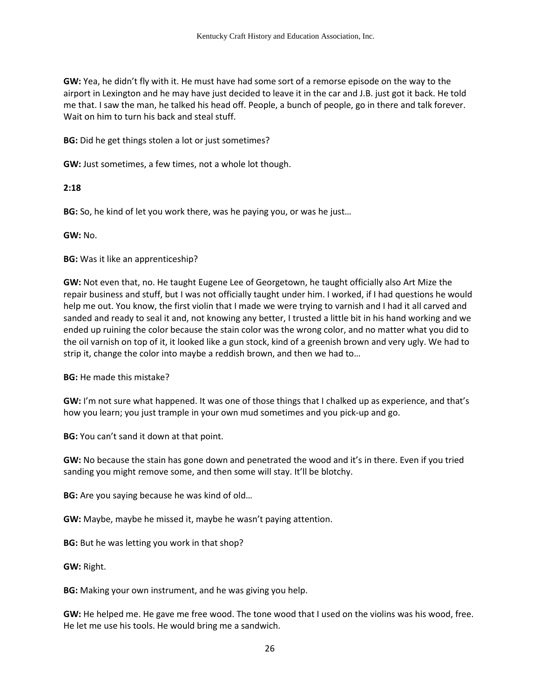**GW:** Yea, he didn't fly with it. He must have had some sort of a remorse episode on the way to the airport in Lexington and he may have just decided to leave it in the car and J.B. just got it back. He told me that. I saw the man, he talked his head off. People, a bunch of people, go in there and talk forever. Wait on him to turn his back and steal stuff.

**BG:** Did he get things stolen a lot or just sometimes?

**GW:** Just sometimes, a few times, not a whole lot though.

### **2:18**

**BG:** So, he kind of let you work there, was he paying you, or was he just…

**GW:** No.

**BG:** Was it like an apprenticeship?

**GW:** Not even that, no. He taught Eugene Lee of Georgetown, he taught officially also Art Mize the repair business and stuff, but I was not officially taught under him. I worked, if I had questions he would help me out. You know, the first violin that I made we were trying to varnish and I had it all carved and sanded and ready to seal it and, not knowing any better, I trusted a little bit in his hand working and we ended up ruining the color because the stain color was the wrong color, and no matter what you did to the oil varnish on top of it, it looked like a gun stock, kind of a greenish brown and very ugly. We had to strip it, change the color into maybe a reddish brown, and then we had to…

**BG:** He made this mistake?

**GW:** I'm not sure what happened. It was one of those things that I chalked up as experience, and that's how you learn; you just trample in your own mud sometimes and you pick-up and go.

**BG:** You can't sand it down at that point.

**GW:** No because the stain has gone down and penetrated the wood and it's in there. Even if you tried sanding you might remove some, and then some will stay. It'll be blotchy.

**BG:** Are you saying because he was kind of old…

**GW:** Maybe, maybe he missed it, maybe he wasn't paying attention.

**BG:** But he was letting you work in that shop?

**GW:** Right.

**BG:** Making your own instrument, and he was giving you help.

**GW:** He helped me. He gave me free wood. The tone wood that I used on the violins was his wood, free. He let me use his tools. He would bring me a sandwich.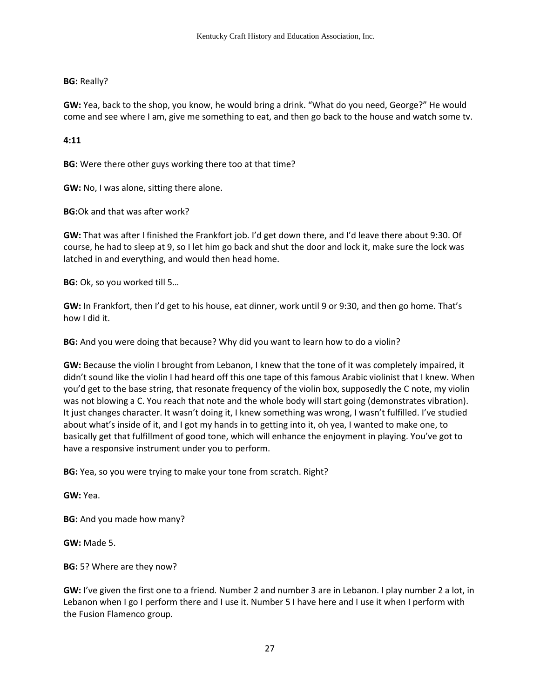**BG:** Really?

**GW:** Yea, back to the shop, you know, he would bring a drink. "What do you need, George?" He would come and see where I am, give me something to eat, and then go back to the house and watch some tv.

**4:11**

**BG:** Were there other guys working there too at that time?

**GW:** No, I was alone, sitting there alone.

**BG:**Ok and that was after work?

**GW:** That was after I finished the Frankfort job. I'd get down there, and I'd leave there about 9:30. Of course, he had to sleep at 9, so I let him go back and shut the door and lock it, make sure the lock was latched in and everything, and would then head home.

**BG:** Ok, so you worked till 5…

**GW:** In Frankfort, then I'd get to his house, eat dinner, work until 9 or 9:30, and then go home. That's how I did it.

**BG:** And you were doing that because? Why did you want to learn how to do a violin?

**GW:** Because the violin I brought from Lebanon, I knew that the tone of it was completely impaired, it didn't sound like the violin I had heard off this one tape of this famous Arabic violinist that I knew. When you'd get to the base string, that resonate frequency of the violin box, supposedly the C note, my violin was not blowing a C. You reach that note and the whole body will start going (demonstrates vibration). It just changes character. It wasn't doing it, I knew something was wrong, I wasn't fulfilled. I've studied about what's inside of it, and I got my hands in to getting into it, oh yea, I wanted to make one, to basically get that fulfillment of good tone, which will enhance the enjoyment in playing. You've got to have a responsive instrument under you to perform.

**BG:** Yea, so you were trying to make your tone from scratch. Right?

**GW:** Yea.

**BG:** And you made how many?

**GW:** Made 5.

**BG:** 5? Where are they now?

**GW:** I've given the first one to a friend. Number 2 and number 3 are in Lebanon. I play number 2 a lot, in Lebanon when I go I perform there and I use it. Number 5 I have here and I use it when I perform with the Fusion Flamenco group.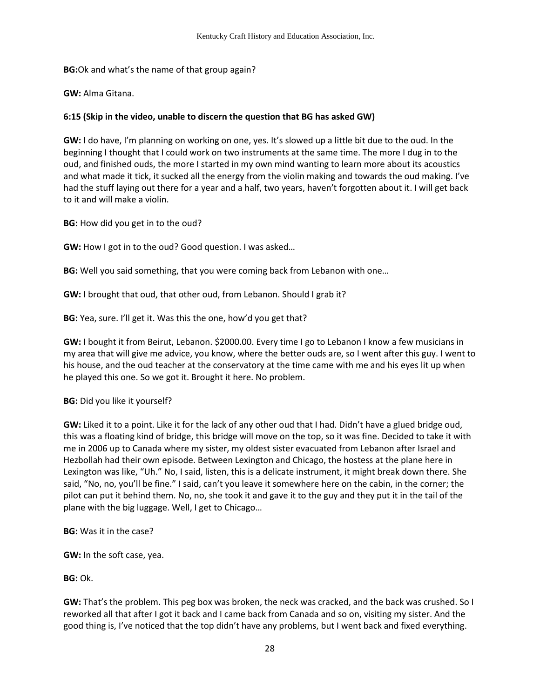**BG:**Ok and what's the name of that group again?

**GW:** Alma Gitana.

## **6:15 (Skip in the video, unable to discern the question that BG has asked GW)**

**GW:** I do have, I'm planning on working on one, yes. It's slowed up a little bit due to the oud. In the beginning I thought that I could work on two instruments at the same time. The more I dug in to the oud, and finished ouds, the more I started in my own mind wanting to learn more about its acoustics and what made it tick, it sucked all the energy from the violin making and towards the oud making. I've had the stuff laying out there for a year and a half, two years, haven't forgotten about it. I will get back to it and will make a violin.

**BG:** How did you get in to the oud?

**GW:** How I got in to the oud? Good question. I was asked…

**BG:** Well you said something, that you were coming back from Lebanon with one…

**GW:** I brought that oud, that other oud, from Lebanon. Should I grab it?

**BG:** Yea, sure. I'll get it. Was this the one, how'd you get that?

**GW:** I bought it from Beirut, Lebanon. \$2000.00. Every time I go to Lebanon I know a few musicians in my area that will give me advice, you know, where the better ouds are, so I went after this guy. I went to his house, and the oud teacher at the conservatory at the time came with me and his eyes lit up when he played this one. So we got it. Brought it here. No problem.

**BG:** Did you like it yourself?

**GW:** Liked it to a point. Like it for the lack of any other oud that I had. Didn't have a glued bridge oud, this was a floating kind of bridge, this bridge will move on the top, so it was fine. Decided to take it with me in 2006 up to Canada where my sister, my oldest sister evacuated from Lebanon after Israel and Hezbollah had their own episode. Between Lexington and Chicago, the hostess at the plane here in Lexington was like, "Uh." No, I said, listen, this is a delicate instrument, it might break down there. She said, "No, no, you'll be fine." I said, can't you leave it somewhere here on the cabin, in the corner; the pilot can put it behind them. No, no, she took it and gave it to the guy and they put it in the tail of the plane with the big luggage. Well, I get to Chicago…

**BG:** Was it in the case?

**GW:** In the soft case, yea.

**BG:** Ok.

**GW:** That's the problem. This peg box was broken, the neck was cracked, and the back was crushed. So I reworked all that after I got it back and I came back from Canada and so on, visiting my sister. And the good thing is, I've noticed that the top didn't have any problems, but I went back and fixed everything.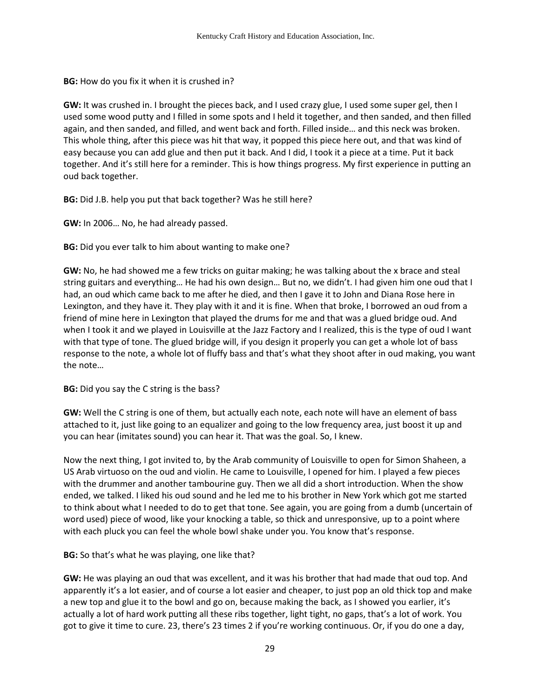**BG:** How do you fix it when it is crushed in?

**GW:** It was crushed in. I brought the pieces back, and I used crazy glue, I used some super gel, then I used some wood putty and I filled in some spots and I held it together, and then sanded, and then filled again, and then sanded, and filled, and went back and forth. Filled inside… and this neck was broken. This whole thing, after this piece was hit that way, it popped this piece here out, and that was kind of easy because you can add glue and then put it back. And I did, I took it a piece at a time. Put it back together. And it's still here for a reminder. This is how things progress. My first experience in putting an oud back together.

**BG:** Did J.B. help you put that back together? Was he still here?

**GW:** In 2006… No, he had already passed.

**BG:** Did you ever talk to him about wanting to make one?

**GW:** No, he had showed me a few tricks on guitar making; he was talking about the x brace and steal string guitars and everything… He had his own design… But no, we didn't. I had given him one oud that I had, an oud which came back to me after he died, and then I gave it to John and Diana Rose here in Lexington, and they have it. They play with it and it is fine. When that broke, I borrowed an oud from a friend of mine here in Lexington that played the drums for me and that was a glued bridge oud. And when I took it and we played in Louisville at the Jazz Factory and I realized, this is the type of oud I want with that type of tone. The glued bridge will, if you design it properly you can get a whole lot of bass response to the note, a whole lot of fluffy bass and that's what they shoot after in oud making, you want the note…

**BG:** Did you say the C string is the bass?

**GW:** Well the C string is one of them, but actually each note, each note will have an element of bass attached to it, just like going to an equalizer and going to the low frequency area, just boost it up and you can hear (imitates sound) you can hear it. That was the goal. So, I knew.

Now the next thing, I got invited to, by the Arab community of Louisville to open for Simon Shaheen, a US Arab virtuoso on the oud and violin. He came to Louisville, I opened for him. I played a few pieces with the drummer and another tambourine guy. Then we all did a short introduction. When the show ended, we talked. I liked his oud sound and he led me to his brother in New York which got me started to think about what I needed to do to get that tone. See again, you are going from a dumb (uncertain of word used) piece of wood, like your knocking a table, so thick and unresponsive, up to a point where with each pluck you can feel the whole bowl shake under you. You know that's response.

**BG:** So that's what he was playing, one like that?

**GW:** He was playing an oud that was excellent, and it was his brother that had made that oud top. And apparently it's a lot easier, and of course a lot easier and cheaper, to just pop an old thick top and make a new top and glue it to the bowl and go on, because making the back, as I showed you earlier, it's actually a lot of hard work putting all these ribs together, light tight, no gaps, that's a lot of work. You got to give it time to cure. 23, there's 23 times 2 if you're working continuous. Or, if you do one a day,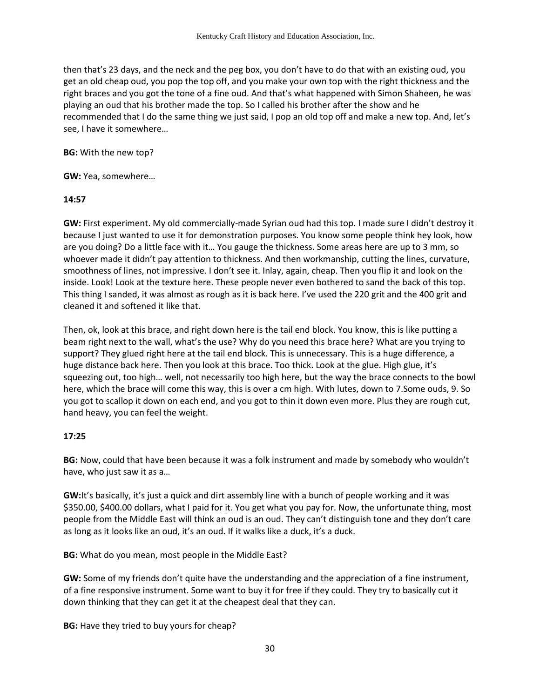then that's 23 days, and the neck and the peg box, you don't have to do that with an existing oud, you get an old cheap oud, you pop the top off, and you make your own top with the right thickness and the right braces and you got the tone of a fine oud. And that's what happened with Simon Shaheen, he was playing an oud that his brother made the top. So I called his brother after the show and he recommended that I do the same thing we just said, I pop an old top off and make a new top. And, let's see, I have it somewhere…

**BG:** With the new top?

### **GW:** Yea, somewhere…

### **14:57**

**GW:** First experiment. My old commercially-made Syrian oud had this top. I made sure I didn't destroy it because I just wanted to use it for demonstration purposes. You know some people think hey look, how are you doing? Do a little face with it… You gauge the thickness. Some areas here are up to 3 mm, so whoever made it didn't pay attention to thickness. And then workmanship, cutting the lines, curvature, smoothness of lines, not impressive. I don't see it. Inlay, again, cheap. Then you flip it and look on the inside. Look! Look at the texture here. These people never even bothered to sand the back of this top. This thing I sanded, it was almost as rough as it is back here. I've used the 220 grit and the 400 grit and cleaned it and softened it like that.

Then, ok, look at this brace, and right down here is the tail end block. You know, this is like putting a beam right next to the wall, what's the use? Why do you need this brace here? What are you trying to support? They glued right here at the tail end block. This is unnecessary. This is a huge difference, a huge distance back here. Then you look at this brace. Too thick. Look at the glue. High glue, it's squeezing out, too high… well, not necessarily too high here, but the way the brace connects to the bowl here, which the brace will come this way, this is over a cm high. With lutes, down to 7.Some ouds, 9. So you got to scallop it down on each end, and you got to thin it down even more. Plus they are rough cut, hand heavy, you can feel the weight.

## **17:25**

**BG:** Now, could that have been because it was a folk instrument and made by somebody who wouldn't have, who just saw it as a…

**GW:**It's basically, it's just a quick and dirt assembly line with a bunch of people working and it was \$350.00, \$400.00 dollars, what I paid for it. You get what you pay for. Now, the unfortunate thing, most people from the Middle East will think an oud is an oud. They can't distinguish tone and they don't care as long as it looks like an oud, it's an oud. If it walks like a duck, it's a duck.

**BG:** What do you mean, most people in the Middle East?

**GW:** Some of my friends don't quite have the understanding and the appreciation of a fine instrument, of a fine responsive instrument. Some want to buy it for free if they could. They try to basically cut it down thinking that they can get it at the cheapest deal that they can.

**BG:** Have they tried to buy yours for cheap?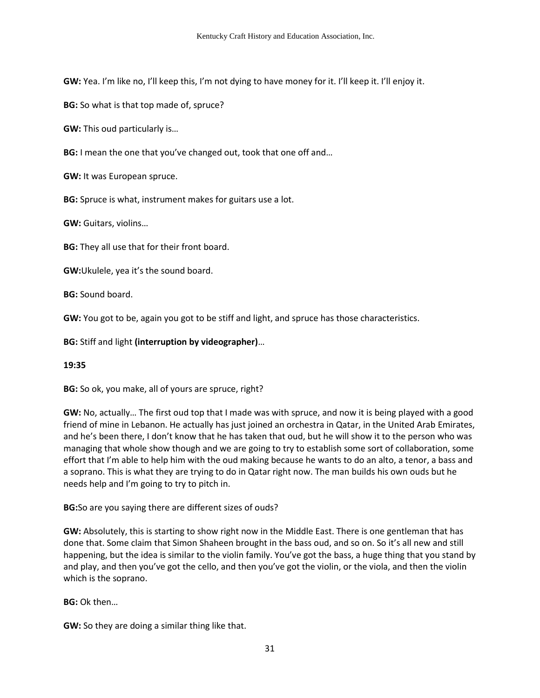**GW:** Yea. I'm like no, I'll keep this, I'm not dying to have money for it. I'll keep it. I'll enjoy it.

**BG:** So what is that top made of, spruce?

**GW:** This oud particularly is…

**BG:** I mean the one that you've changed out, took that one off and…

**GW:** It was European spruce.

**BG:** Spruce is what, instrument makes for guitars use a lot.

**GW:** Guitars, violins…

**BG:** They all use that for their front board.

**GW:**Ukulele, yea it's the sound board.

**BG:** Sound board.

**GW:** You got to be, again you got to be stiff and light, and spruce has those characteristics.

**BG:** Stiff and light **(interruption by videographer)**…

## **19:35**

**BG:** So ok, you make, all of yours are spruce, right?

**GW:** No, actually… The first oud top that I made was with spruce, and now it is being played with a good friend of mine in Lebanon. He actually has just joined an orchestra in Qatar, in the United Arab Emirates, and he's been there, I don't know that he has taken that oud, but he will show it to the person who was managing that whole show though and we are going to try to establish some sort of collaboration, some effort that I'm able to help him with the oud making because he wants to do an alto, a tenor, a bass and a soprano. This is what they are trying to do in Qatar right now. The man builds his own ouds but he needs help and I'm going to try to pitch in.

**BG:**So are you saying there are different sizes of ouds?

**GW:** Absolutely, this is starting to show right now in the Middle East. There is one gentleman that has done that. Some claim that Simon Shaheen brought in the bass oud, and so on. So it's all new and still happening, but the idea is similar to the violin family. You've got the bass, a huge thing that you stand by and play, and then you've got the cello, and then you've got the violin, or the viola, and then the violin which is the soprano.

**BG:** Ok then…

**GW:** So they are doing a similar thing like that.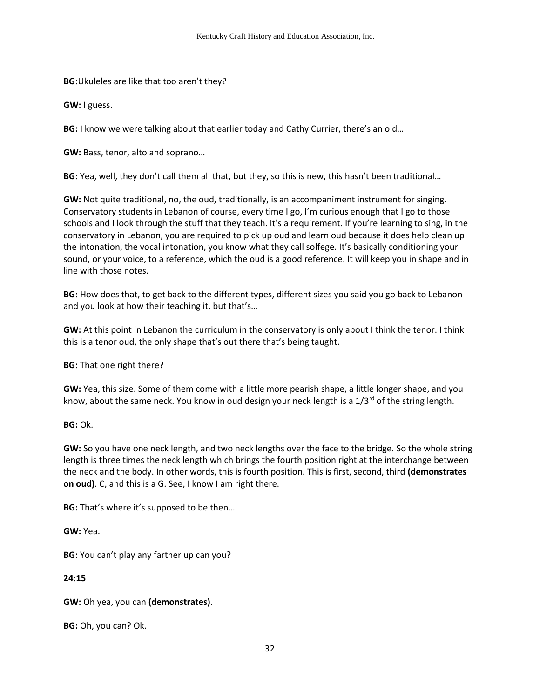**BG:**Ukuleles are like that too aren't they?

**GW:** I guess.

**BG:** I know we were talking about that earlier today and Cathy Currier, there's an old…

**GW:** Bass, tenor, alto and soprano…

**BG:** Yea, well, they don't call them all that, but they, so this is new, this hasn't been traditional…

**GW:** Not quite traditional, no, the oud, traditionally, is an accompaniment instrument for singing. Conservatory students in Lebanon of course, every time I go, I'm curious enough that I go to those schools and I look through the stuff that they teach. It's a requirement. If you're learning to sing, in the conservatory in Lebanon, you are required to pick up oud and learn oud because it does help clean up the intonation, the vocal intonation, you know what they call solfege. It's basically conditioning your sound, or your voice, to a reference, which the oud is a good reference. It will keep you in shape and in line with those notes.

**BG:** How does that, to get back to the different types, different sizes you said you go back to Lebanon and you look at how their teaching it, but that's…

**GW:** At this point in Lebanon the curriculum in the conservatory is only about I think the tenor. I think this is a tenor oud, the only shape that's out there that's being taught.

**BG:** That one right there?

**GW:** Yea, this size. Some of them come with a little more pearish shape, a little longer shape, and you know, about the same neck. You know in oud design your neck length is a  $1/3^{rd}$  of the string length.

**BG:** Ok.

**GW:** So you have one neck length, and two neck lengths over the face to the bridge. So the whole string length is three times the neck length which brings the fourth position right at the interchange between the neck and the body. In other words, this is fourth position. This is first, second, third **(demonstrates on oud)**. C, and this is a G. See, I know I am right there.

**BG:** That's where it's supposed to be then…

**GW:** Yea.

**BG:** You can't play any farther up can you?

**24:15**

**GW:** Oh yea, you can **(demonstrates).** 

**BG:** Oh, you can? Ok.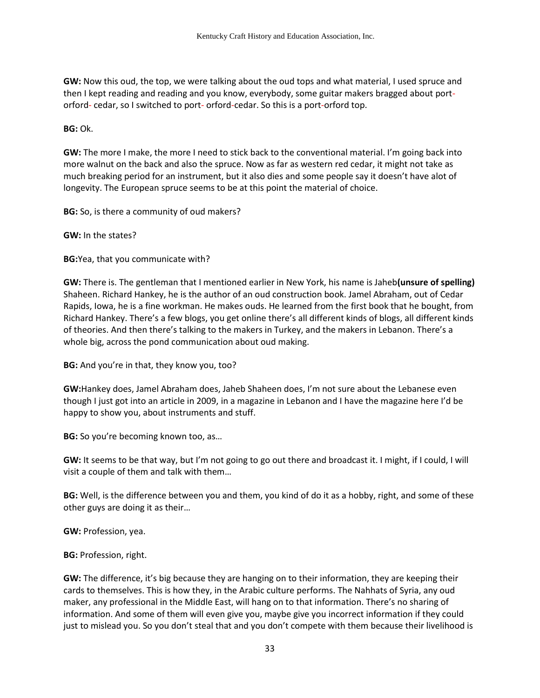**GW:** Now this oud, the top, we were talking about the oud tops and what material, I used spruce and then I kept reading and reading and you know, everybody, some guitar makers bragged about portorford- cedar, so I switched to port- orford-cedar. So this is a port-orford top.

**BG:** Ok.

**GW:** The more I make, the more I need to stick back to the conventional material. I'm going back into more walnut on the back and also the spruce. Now as far as western red cedar, it might not take as much breaking period for an instrument, but it also dies and some people say it doesn't have alot of longevity. The European spruce seems to be at this point the material of choice.

**BG:** So, is there a community of oud makers?

**GW:** In the states?

**BG:**Yea, that you communicate with?

**GW:** There is. The gentleman that I mentioned earlier in New York, his name is Jaheb**(unsure of spelling)** Shaheen. Richard Hankey, he is the author of an oud construction book. Jamel Abraham, out of Cedar Rapids, Iowa, he is a fine workman. He makes ouds. He learned from the first book that he bought, from Richard Hankey. There's a few blogs, you get online there's all different kinds of blogs, all different kinds of theories. And then there's talking to the makers in Turkey, and the makers in Lebanon. There's a whole big, across the pond communication about oud making.

**BG:** And you're in that, they know you, too?

**GW:**Hankey does, Jamel Abraham does, Jaheb Shaheen does, I'm not sure about the Lebanese even though I just got into an article in 2009, in a magazine in Lebanon and I have the magazine here I'd be happy to show you, about instruments and stuff.

**BG:** So you're becoming known too, as…

**GW:** It seems to be that way, but I'm not going to go out there and broadcast it. I might, if I could, I will visit a couple of them and talk with them…

**BG:** Well, is the difference between you and them, you kind of do it as a hobby, right, and some of these other guys are doing it as their…

**GW:** Profession, yea.

**BG:** Profession, right.

**GW:** The difference, it's big because they are hanging on to their information, they are keeping their cards to themselves. This is how they, in the Arabic culture performs. The Nahhats of Syria, any oud maker, any professional in the Middle East, will hang on to that information. There's no sharing of information. And some of them will even give you, maybe give you incorrect information if they could just to mislead you. So you don't steal that and you don't compete with them because their livelihood is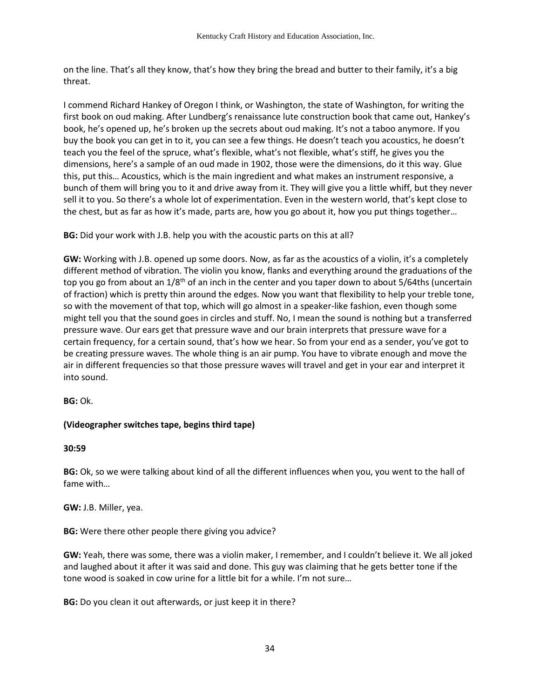on the line. That's all they know, that's how they bring the bread and butter to their family, it's a big threat.

I commend Richard Hankey of Oregon I think, or Washington, the state of Washington, for writing the first book on oud making. After Lundberg's renaissance lute construction book that came out, Hankey's book, he's opened up, he's broken up the secrets about oud making. It's not a taboo anymore. If you buy the book you can get in to it, you can see a few things. He doesn't teach you acoustics, he doesn't teach you the feel of the spruce, what's flexible, what's not flexible, what's stiff, he gives you the dimensions, here's a sample of an oud made in 1902, those were the dimensions, do it this way. Glue this, put this… Acoustics, which is the main ingredient and what makes an instrument responsive, a bunch of them will bring you to it and drive away from it. They will give you a little whiff, but they never sell it to you. So there's a whole lot of experimentation. Even in the western world, that's kept close to the chest, but as far as how it's made, parts are, how you go about it, how you put things together…

**BG:** Did your work with J.B. help you with the acoustic parts on this at all?

**GW:** Working with J.B. opened up some doors. Now, as far as the acoustics of a violin, it's a completely different method of vibration. The violin you know, flanks and everything around the graduations of the top you go from about an 1/8<sup>th</sup> of an inch in the center and you taper down to about 5/64ths (uncertain of fraction) which is pretty thin around the edges. Now you want that flexibility to help your treble tone, so with the movement of that top, which will go almost in a speaker-like fashion, even though some might tell you that the sound goes in circles and stuff. No, I mean the sound is nothing but a transferred pressure wave. Our ears get that pressure wave and our brain interprets that pressure wave for a certain frequency, for a certain sound, that's how we hear. So from your end as a sender, you've got to be creating pressure waves. The whole thing is an air pump. You have to vibrate enough and move the air in different frequencies so that those pressure waves will travel and get in your ear and interpret it into sound.

**BG:** Ok.

# **(Videographer switches tape, begins third tape)**

**30:59** 

**BG:** Ok, so we were talking about kind of all the different influences when you, you went to the hall of fame with…

**GW:** J.B. Miller, yea.

**BG:** Were there other people there giving you advice?

**GW:** Yeah, there was some, there was a violin maker, I remember, and I couldn't believe it. We all joked and laughed about it after it was said and done. This guy was claiming that he gets better tone if the tone wood is soaked in cow urine for a little bit for a while. I'm not sure…

**BG:** Do you clean it out afterwards, or just keep it in there?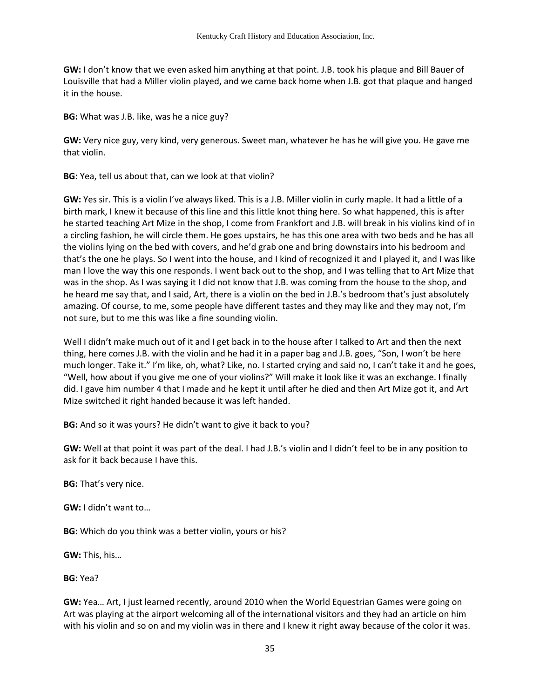**GW:** I don't know that we even asked him anything at that point. J.B. took his plaque and Bill Bauer of Louisville that had a Miller violin played, and we came back home when J.B. got that plaque and hanged it in the house.

**BG:** What was J.B. like, was he a nice guy?

**GW:** Very nice guy, very kind, very generous. Sweet man, whatever he has he will give you. He gave me that violin.

**BG:** Yea, tell us about that, can we look at that violin?

**GW:** Yes sir. This is a violin I've always liked. This is a J.B. Miller violin in curly maple. It had a little of a birth mark, I knew it because of this line and this little knot thing here. So what happened, this is after he started teaching Art Mize in the shop, I come from Frankfort and J.B. will break in his violins kind of in a circling fashion, he will circle them. He goes upstairs, he has this one area with two beds and he has all the violins lying on the bed with covers, and he'd grab one and bring downstairs into his bedroom and that's the one he plays. So I went into the house, and I kind of recognized it and I played it, and I was like man I love the way this one responds. I went back out to the shop, and I was telling that to Art Mize that was in the shop. As I was saying it I did not know that J.B. was coming from the house to the shop, and he heard me say that, and I said, Art, there is a violin on the bed in J.B.'s bedroom that's just absolutely amazing. Of course, to me, some people have different tastes and they may like and they may not, I'm not sure, but to me this was like a fine sounding violin.

Well I didn't make much out of it and I get back in to the house after I talked to Art and then the next thing, here comes J.B. with the violin and he had it in a paper bag and J.B. goes, "Son, I won't be here much longer. Take it." I'm like, oh, what? Like, no. I started crying and said no, I can't take it and he goes, "Well, how about if you give me one of your violins?" Will make it look like it was an exchange. I finally did. I gave him number 4 that I made and he kept it until after he died and then Art Mize got it, and Art Mize switched it right handed because it was left handed.

**BG:** And so it was yours? He didn't want to give it back to you?

**GW:** Well at that point it was part of the deal. I had J.B.'s violin and I didn't feel to be in any position to ask for it back because I have this.

**BG:** That's very nice.

**GW:** I didn't want to…

**BG:** Which do you think was a better violin, yours or his?

**GW:** This, his…

**BG:** Yea?

**GW:** Yea… Art, I just learned recently, around 2010 when the World Equestrian Games were going on Art was playing at the airport welcoming all of the international visitors and they had an article on him with his violin and so on and my violin was in there and I knew it right away because of the color it was.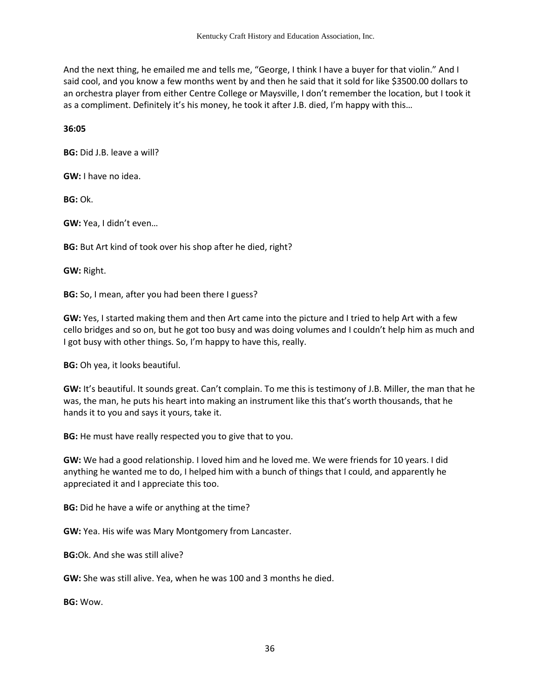And the next thing, he emailed me and tells me, "George, I think I have a buyer for that violin." And I said cool, and you know a few months went by and then he said that it sold for like \$3500.00 dollars to an orchestra player from either Centre College or Maysville, I don't remember the location, but I took it as a compliment. Definitely it's his money, he took it after J.B. died, I'm happy with this…

**36:05**

**BG:** Did J.B. leave a will?

**GW:** I have no idea.

**BG:** Ok.

**GW:** Yea, I didn't even…

**BG:** But Art kind of took over his shop after he died, right?

**GW:** Right.

**BG:** So, I mean, after you had been there I guess?

**GW:** Yes, I started making them and then Art came into the picture and I tried to help Art with a few cello bridges and so on, but he got too busy and was doing volumes and I couldn't help him as much and I got busy with other things. So, I'm happy to have this, really.

**BG:** Oh yea, it looks beautiful.

**GW:** It's beautiful. It sounds great. Can't complain. To me this is testimony of J.B. Miller, the man that he was, the man, he puts his heart into making an instrument like this that's worth thousands, that he hands it to you and says it yours, take it.

**BG:** He must have really respected you to give that to you.

**GW:** We had a good relationship. I loved him and he loved me. We were friends for 10 years. I did anything he wanted me to do, I helped him with a bunch of things that I could, and apparently he appreciated it and I appreciate this too.

**BG:** Did he have a wife or anything at the time?

**GW:** Yea. His wife was Mary Montgomery from Lancaster.

**BG:**Ok. And she was still alive?

**GW:** She was still alive. Yea, when he was 100 and 3 months he died.

**BG:** Wow.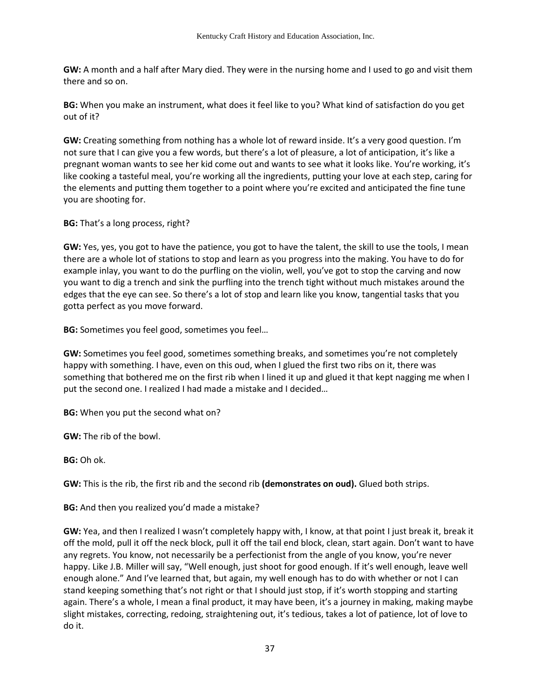**GW:** A month and a half after Mary died. They were in the nursing home and I used to go and visit them there and so on.

**BG:** When you make an instrument, what does it feel like to you? What kind of satisfaction do you get out of it?

**GW:** Creating something from nothing has a whole lot of reward inside. It's a very good question. I'm not sure that I can give you a few words, but there's a lot of pleasure, a lot of anticipation, it's like a pregnant woman wants to see her kid come out and wants to see what it looks like. You're working, it's like cooking a tasteful meal, you're working all the ingredients, putting your love at each step, caring for the elements and putting them together to a point where you're excited and anticipated the fine tune you are shooting for.

**BG:** That's a long process, right?

**GW:** Yes, yes, you got to have the patience, you got to have the talent, the skill to use the tools, I mean there are a whole lot of stations to stop and learn as you progress into the making. You have to do for example inlay, you want to do the purfling on the violin, well, you've got to stop the carving and now you want to dig a trench and sink the purfling into the trench tight without much mistakes around the edges that the eye can see. So there's a lot of stop and learn like you know, tangential tasks that you gotta perfect as you move forward.

**BG:** Sometimes you feel good, sometimes you feel…

**GW:** Sometimes you feel good, sometimes something breaks, and sometimes you're not completely happy with something. I have, even on this oud, when I glued the first two ribs on it, there was something that bothered me on the first rib when I lined it up and glued it that kept nagging me when I put the second one. I realized I had made a mistake and I decided…

**BG:** When you put the second what on?

**GW:** The rib of the bowl.

**BG:** Oh ok.

**GW:** This is the rib, the first rib and the second rib **(demonstrates on oud).** Glued both strips.

**BG:** And then you realized you'd made a mistake?

**GW:** Yea, and then I realized I wasn't completely happy with, I know, at that point I just break it, break it off the mold, pull it off the neck block, pull it off the tail end block, clean, start again. Don't want to have any regrets. You know, not necessarily be a perfectionist from the angle of you know, you're never happy. Like J.B. Miller will say, "Well enough, just shoot for good enough. If it's well enough, leave well enough alone." And I've learned that, but again, my well enough has to do with whether or not I can stand keeping something that's not right or that I should just stop, if it's worth stopping and starting again. There's a whole, I mean a final product, it may have been, it's a journey in making, making maybe slight mistakes, correcting, redoing, straightening out, it's tedious, takes a lot of patience, lot of love to do it.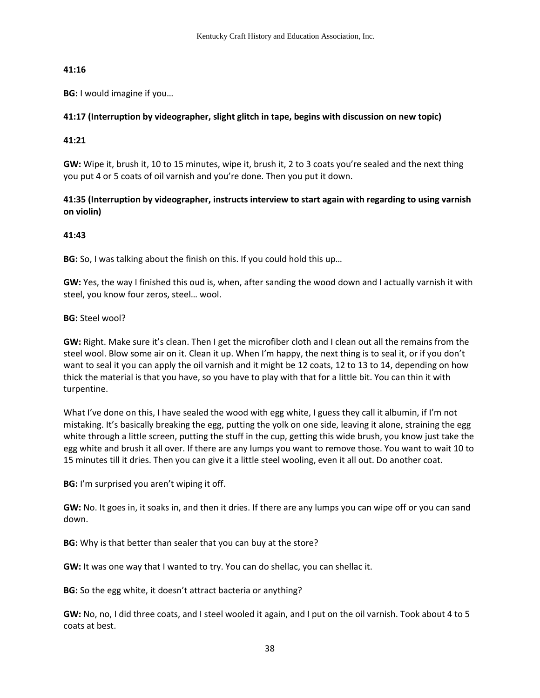## **41:16**

**BG:** I would imagine if you…

## **41:17 (Interruption by videographer, slight glitch in tape, begins with discussion on new topic)**

## **41:21**

**GW:** Wipe it, brush it, 10 to 15 minutes, wipe it, brush it, 2 to 3 coats you're sealed and the next thing you put 4 or 5 coats of oil varnish and you're done. Then you put it down.

# **41:35 (Interruption by videographer, instructs interview to start again with regarding to using varnish on violin)**

# **41:43**

**BG:** So, I was talking about the finish on this. If you could hold this up…

**GW:** Yes, the way I finished this oud is, when, after sanding the wood down and I actually varnish it with steel, you know four zeros, steel… wool.

**BG:** Steel wool?

**GW:** Right. Make sure it's clean. Then I get the microfiber cloth and I clean out all the remains from the steel wool. Blow some air on it. Clean it up. When I'm happy, the next thing is to seal it, or if you don't want to seal it you can apply the oil varnish and it might be 12 coats, 12 to 13 to 14, depending on how thick the material is that you have, so you have to play with that for a little bit. You can thin it with turpentine.

What I've done on this, I have sealed the wood with egg white, I guess they call it albumin, if I'm not mistaking. It's basically breaking the egg, putting the yolk on one side, leaving it alone, straining the egg white through a little screen, putting the stuff in the cup, getting this wide brush, you know just take the egg white and brush it all over. If there are any lumps you want to remove those. You want to wait 10 to 15 minutes till it dries. Then you can give it a little steel wooling, even it all out. Do another coat.

**BG:** I'm surprised you aren't wiping it off.

**GW:** No. It goes in, it soaks in, and then it dries. If there are any lumps you can wipe off or you can sand down.

**BG:** Why is that better than sealer that you can buy at the store?

**GW:** It was one way that I wanted to try. You can do shellac, you can shellac it.

**BG:** So the egg white, it doesn't attract bacteria or anything?

**GW:** No, no, I did three coats, and I steel wooled it again, and I put on the oil varnish. Took about 4 to 5 coats at best.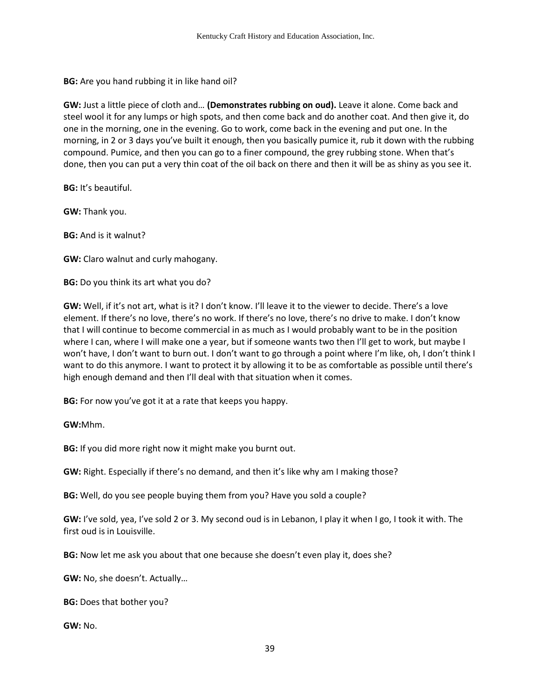**BG:** Are you hand rubbing it in like hand oil?

**GW:** Just a little piece of cloth and… **(Demonstrates rubbing on oud).** Leave it alone. Come back and steel wool it for any lumps or high spots, and then come back and do another coat. And then give it, do one in the morning, one in the evening. Go to work, come back in the evening and put one. In the morning, in 2 or 3 days you've built it enough, then you basically pumice it, rub it down with the rubbing compound. Pumice, and then you can go to a finer compound, the grey rubbing stone. When that's done, then you can put a very thin coat of the oil back on there and then it will be as shiny as you see it.

**BG:** It's beautiful.

**GW:** Thank you.

**BG:** And is it walnut?

**GW:** Claro walnut and curly mahogany.

**BG:** Do you think its art what you do?

**GW:** Well, if it's not art, what is it? I don't know. I'll leave it to the viewer to decide. There's a love element. If there's no love, there's no work. If there's no love, there's no drive to make. I don't know that I will continue to become commercial in as much as I would probably want to be in the position where I can, where I will make one a year, but if someone wants two then I'll get to work, but maybe I won't have, I don't want to burn out. I don't want to go through a point where I'm like, oh, I don't think I want to do this anymore. I want to protect it by allowing it to be as comfortable as possible until there's high enough demand and then I'll deal with that situation when it comes.

**BG:** For now you've got it at a rate that keeps you happy.

**GW:**Mhm.

**BG:** If you did more right now it might make you burnt out.

**GW:** Right. Especially if there's no demand, and then it's like why am I making those?

**BG:** Well, do you see people buying them from you? Have you sold a couple?

**GW:** I've sold, yea, I've sold 2 or 3. My second oud is in Lebanon, I play it when I go, I took it with. The first oud is in Louisville.

**BG:** Now let me ask you about that one because she doesn't even play it, does she?

**GW:** No, she doesn't. Actually…

**BG:** Does that bother you?

**GW:** No.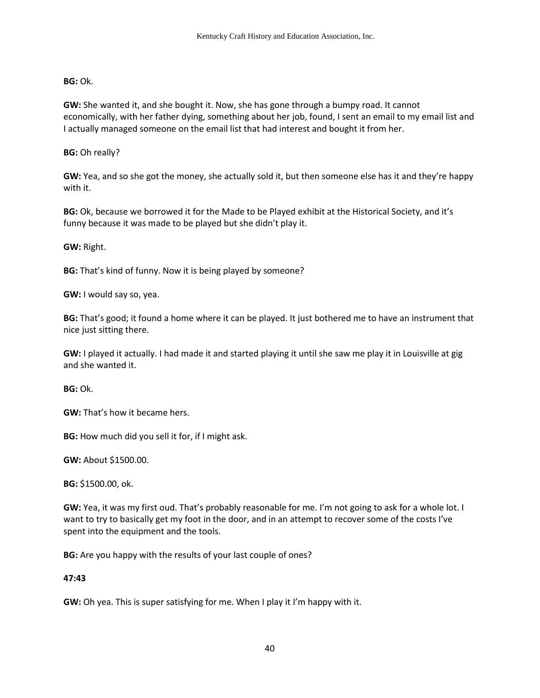## **BG:** Ok.

**GW:** She wanted it, and she bought it. Now, she has gone through a bumpy road. It cannot economically, with her father dying, something about her job, found, I sent an email to my email list and I actually managed someone on the email list that had interest and bought it from her.

**BG:** Oh really?

**GW:** Yea, and so she got the money, she actually sold it, but then someone else has it and they're happy with it.

**BG:** Ok, because we borrowed it for the Made to be Played exhibit at the Historical Society, and it's funny because it was made to be played but she didn't play it.

## **GW:** Right.

**BG:** That's kind of funny. Now it is being played by someone?

**GW:** I would say so, yea.

**BG:** That's good; it found a home where it can be played. It just bothered me to have an instrument that nice just sitting there.

**GW:** I played it actually. I had made it and started playing it until she saw me play it in Louisville at gig and she wanted it.

**BG:** Ok.

**GW:** That's how it became hers.

**BG:** How much did you sell it for, if I might ask.

**GW:** About \$1500.00.

**BG:** \$1500.00, ok.

**GW:** Yea, it was my first oud. That's probably reasonable for me. I'm not going to ask for a whole lot. I want to try to basically get my foot in the door, and in an attempt to recover some of the costs I've spent into the equipment and the tools.

**BG:** Are you happy with the results of your last couple of ones?

## **47:43**

**GW:** Oh yea. This is super satisfying for me. When I play it I'm happy with it.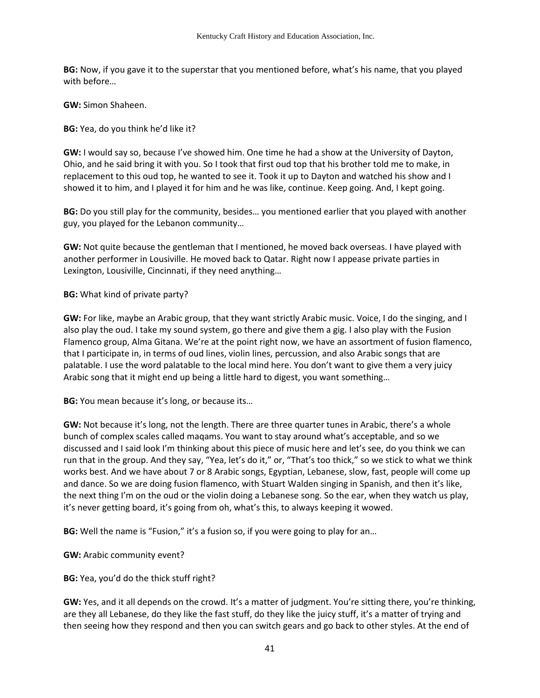**BG:** Now, if you gave it to the superstar that you mentioned before, what's his name, that you played with before…

**GW:** Simon Shaheen.

**BG:** Yea, do you think he'd like it?

**GW:** I would say so, because I've showed him. One time he had a show at the University of Dayton, Ohio, and he said bring it with you. So I took that first oud top that his brother told me to make, in replacement to this oud top, he wanted to see it. Took it up to Dayton and watched his show and I showed it to him, and I played it for him and he was like, continue. Keep going. And, I kept going.

**BG:** Do you still play for the community, besides… you mentioned earlier that you played with another guy, you played for the Lebanon community…

**GW:** Not quite because the gentleman that I mentioned, he moved back overseas. I have played with another performer in Lousiville. He moved back to Qatar. Right now I appease private parties in Lexington, Lousiville, Cincinnati, if they need anything…

**BG:** What kind of private party?

**GW:** For like, maybe an Arabic group, that they want strictly Arabic music. Voice, I do the singing, and I also play the oud. I take my sound system, go there and give them a gig. I also play with the Fusion Flamenco group, Alma Gitana. We're at the point right now, we have an assortment of fusion flamenco, that I participate in, in terms of oud lines, violin lines, percussion, and also Arabic songs that are palatable. I use the word palatable to the local mind here. You don't want to give them a very juicy Arabic song that it might end up being a little hard to digest, you want something…

**BG:** You mean because it's long, or because its…

**GW:** Not because it's long, not the length. There are three quarter tunes in Arabic, there's a whole bunch of complex scales called maqams. You want to stay around what's acceptable, and so we discussed and I said look I'm thinking about this piece of music here and let's see, do you think we can run that in the group. And they say, "Yea, let's do it," or, "That's too thick," so we stick to what we think works best. And we have about 7 or 8 Arabic songs, Egyptian, Lebanese, slow, fast, people will come up and dance. So we are doing fusion flamenco, with Stuart Walden singing in Spanish, and then it's like, the next thing I'm on the oud or the violin doing a Lebanese song. So the ear, when they watch us play, it's never getting board, it's going from oh, what's this, to always keeping it wowed.

**BG:** Well the name is "Fusion," it's a fusion so, if you were going to play for an…

**GW:** Arabic community event?

**BG:** Yea, you'd do the thick stuff right?

**GW:** Yes, and it all depends on the crowd. It's a matter of judgment. You're sitting there, you're thinking, are they all Lebanese, do they like the fast stuff, do they like the juicy stuff, it's a matter of trying and then seeing how they respond and then you can switch gears and go back to other styles. At the end of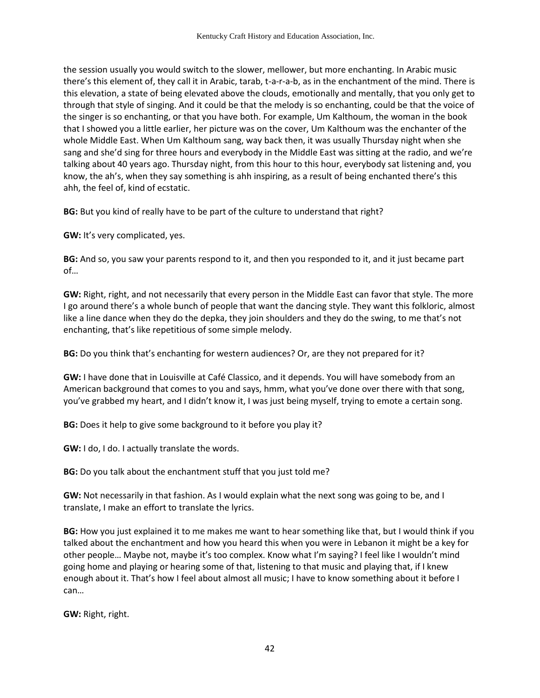the session usually you would switch to the slower, mellower, but more enchanting. In Arabic music there's this element of, they call it in Arabic, tarab, t-a-r-a-b, as in the enchantment of the mind. There is this elevation, a state of being elevated above the clouds, emotionally and mentally, that you only get to through that style of singing. And it could be that the melody is so enchanting, could be that the voice of the singer is so enchanting, or that you have both. For example, Um Kalthoum, the woman in the book that I showed you a little earlier, her picture was on the cover, Um Kalthoum was the enchanter of the whole Middle East. When Um Kalthoum sang, way back then, it was usually Thursday night when she sang and she'd sing for three hours and everybody in the Middle East was sitting at the radio, and we're talking about 40 years ago. Thursday night, from this hour to this hour, everybody sat listening and, you know, the ah's, when they say something is ahh inspiring, as a result of being enchanted there's this ahh, the feel of, kind of ecstatic.

**BG:** But you kind of really have to be part of the culture to understand that right?

**GW:** It's very complicated, yes.

**BG:** And so, you saw your parents respond to it, and then you responded to it, and it just became part of…

**GW:** Right, right, and not necessarily that every person in the Middle East can favor that style. The more I go around there's a whole bunch of people that want the dancing style. They want this folkloric, almost like a line dance when they do the depka, they join shoulders and they do the swing, to me that's not enchanting, that's like repetitious of some simple melody.

**BG:** Do you think that's enchanting for western audiences? Or, are they not prepared for it?

**GW:** I have done that in Louisville at Café Classico, and it depends. You will have somebody from an American background that comes to you and says, hmm, what you've done over there with that song, you've grabbed my heart, and I didn't know it, I was just being myself, trying to emote a certain song.

**BG:** Does it help to give some background to it before you play it?

**GW:** I do, I do. I actually translate the words.

**BG:** Do you talk about the enchantment stuff that you just told me?

**GW:** Not necessarily in that fashion. As I would explain what the next song was going to be, and I translate, I make an effort to translate the lyrics.

**BG:** How you just explained it to me makes me want to hear something like that, but I would think if you talked about the enchantment and how you heard this when you were in Lebanon it might be a key for other people… Maybe not, maybe it's too complex. Know what I'm saying? I feel like I wouldn't mind going home and playing or hearing some of that, listening to that music and playing that, if I knew enough about it. That's how I feel about almost all music; I have to know something about it before I can…

**GW:** Right, right.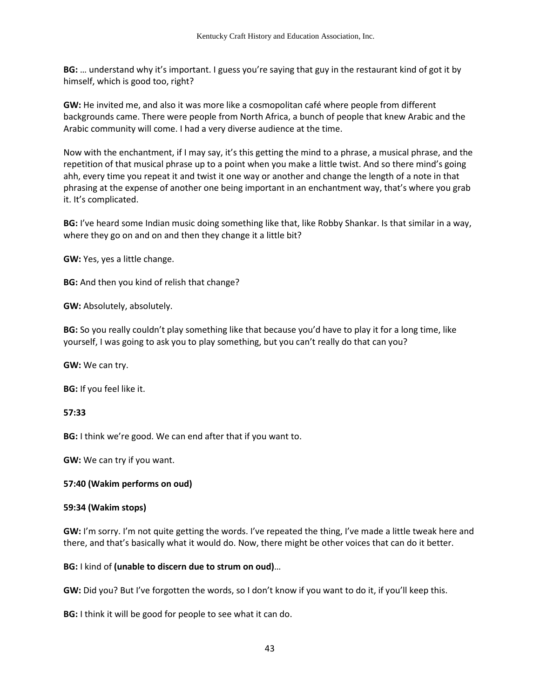**BG:** … understand why it's important. I guess you're saying that guy in the restaurant kind of got it by himself, which is good too, right?

**GW:** He invited me, and also it was more like a cosmopolitan café where people from different backgrounds came. There were people from North Africa, a bunch of people that knew Arabic and the Arabic community will come. I had a very diverse audience at the time.

Now with the enchantment, if I may say, it's this getting the mind to a phrase, a musical phrase, and the repetition of that musical phrase up to a point when you make a little twist. And so there mind's going ahh, every time you repeat it and twist it one way or another and change the length of a note in that phrasing at the expense of another one being important in an enchantment way, that's where you grab it. It's complicated.

**BG:** I've heard some Indian music doing something like that, like Robby Shankar. Is that similar in a way, where they go on and on and then they change it a little bit?

**GW:** Yes, yes a little change.

**BG:** And then you kind of relish that change?

**GW:** Absolutely, absolutely.

**BG:** So you really couldn't play something like that because you'd have to play it for a long time, like yourself, I was going to ask you to play something, but you can't really do that can you?

**GW:** We can try.

**BG:** If you feel like it.

**57:33** 

**BG:** I think we're good. We can end after that if you want to.

**GW:** We can try if you want.

#### **57:40 (Wakim performs on oud)**

#### **59:34 (Wakim stops)**

**GW:** I'm sorry. I'm not quite getting the words. I've repeated the thing, I've made a little tweak here and there, and that's basically what it would do. Now, there might be other voices that can do it better.

#### **BG:** I kind of **(unable to discern due to strum on oud)**…

**GW:** Did you? But I've forgotten the words, so I don't know if you want to do it, if you'll keep this.

**BG:** I think it will be good for people to see what it can do.